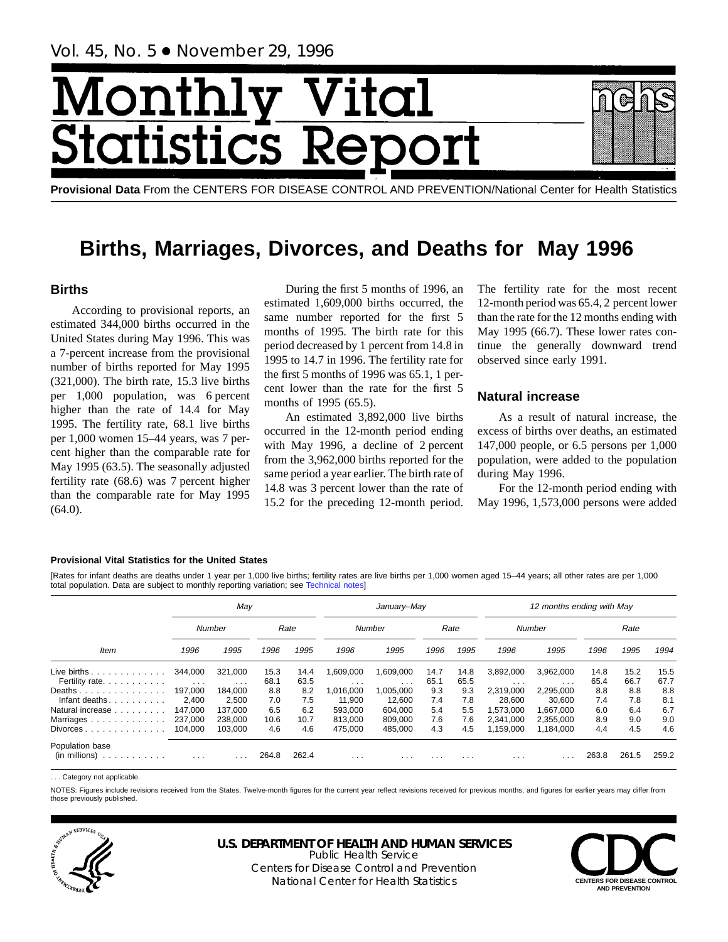# VIonth **Ital** tics R tatist

**Provisional Data** From the CENTERS FOR DISEASE CONTROL AND PREVENTION/National Center for Health Statistics

# **Births, Marriages, Divorces, and Deaths for May 1996**

# **Births**

According to provisional reports, an estimated 344,000 births occurred in the United States during May 1996. This was a 7-percent increase from the provisional number of births reported for May 1995 (321,000). The birth rate, 15.3 live births per 1,000 population, was 6 percent higher than the rate of 14.4 for May 1995. The fertility rate, 68.1 live births per 1,000 women 15–44 years, was 7 percent higher than the comparable rate for May 1995 (63.5). The seasonally adjusted fertility rate (68.6) was 7 percent higher than the comparable rate for May 1995 (64.0).

During the first 5 months of 1996, an estimated 1,609,000 births occurred, the same number reported for the first 5 months of 1995. The birth rate for this period decreased by 1 percent from 14.8 in 1995 to 14.7 in 1996. The fertility rate for the first 5 months of 1996 was 65.1, 1 percent lower than the rate for the first 5 months of 1995 (65.5).

An estimated 3,892,000 live births occurred in the 12-month period ending with May 1996, a decline of 2 percent from the 3,962,000 births reported for the same period a year earlier. The birth rate of 14.8 was 3 percent lower than the rate of 15.2 for the preceding 12-month period. The fertility rate for the most recent 12-month period was 65.4, 2 percent lower than the rate for the 12 months ending with May 1995 (66.7). These lower rates continue the generally downward trend observed since early 1991.

# **Natural increase**

As a result of natural increase, the excess of births over deaths, an estimated 147,000 people, or 6.5 persons per 1,000 population, were added to the population during May 1996.

For the 12-month period ending with May 1996, 1,573,000 persons were added

#### **Provisional Vital Statistics for the United States**

[Rates for infant deaths are deaths under 1 year per 1,000 live births; fertility rates are live births per 1,000 women aged 15–44 years; all other rates are per 1,000 total population. Data are subject to monthly reporting variation; see [Technical notes\]](#page-16-0)

|                                                                                                                                                                                                                                                                                                                                                                                                                                                                                                     |                         | May                  |       |       |                         | January-May |          |          |           | 12 months ending with May |       |       |       |
|-----------------------------------------------------------------------------------------------------------------------------------------------------------------------------------------------------------------------------------------------------------------------------------------------------------------------------------------------------------------------------------------------------------------------------------------------------------------------------------------------------|-------------------------|----------------------|-------|-------|-------------------------|-------------|----------|----------|-----------|---------------------------|-------|-------|-------|
|                                                                                                                                                                                                                                                                                                                                                                                                                                                                                                     |                         | <b>Number</b>        |       | Rate  |                         | Number      |          | Rate     |           | Number                    |       | Rate  |       |
| <b>Item</b>                                                                                                                                                                                                                                                                                                                                                                                                                                                                                         | 1996                    | 1995                 | 1996  | 1995  | 1996                    | 1995        | 1996     | 1995     | 1996      | 1995                      | 1996  | 1995  | 1994  |
| Live births $\ldots$                                                                                                                                                                                                                                                                                                                                                                                                                                                                                | 344.000                 | 321.000              | 15.3  | 14.4  | ,609,000                | 1,609,000   | 14.7     | 14.8     | 3,892,000 | 3,962,000                 | 14.8  | 15.2  | 15.5  |
| Fertility rate.                                                                                                                                                                                                                                                                                                                                                                                                                                                                                     | $\sim 100$ km s $^{-1}$ | $\sim$ $\sim$ $\sim$ | 68.1  | 63.5  | $\cdot$ $\cdot$ $\cdot$ | $\cdots$    | 65.1     | 65.5     | $\cdots$  | $\cdots$                  | 65.4  | 66.7  | 67.7  |
| Deaths                                                                                                                                                                                                                                                                                                                                                                                                                                                                                              | 197.000                 | 184.000              | 8.8   | 8.2   | 016,000                 | 1,005,000   | 9.3      | 9.3      | 2,319,000 | 2,295,000                 | 8.8   | 8.8   | 8.8   |
| Infant deaths. $\ldots$ .                                                                                                                                                                                                                                                                                                                                                                                                                                                                           | 2,400                   | 2,500                | 7.0   | 7.5   | 11,900                  | 12.600      | 7.4      | 7.8      | 28,600    | 30,600                    | 7.4   | 7.8   | 8.1   |
| Natural increase                                                                                                                                                                                                                                                                                                                                                                                                                                                                                    | 147.000                 | 137.000              | 6.5   | 6.2   | 593.000                 | 604.000     | 5.4      | 5.5      | .573.000  | 1.667.000                 | 6.0   | 6.4   | 6.7   |
| Marriages.<br>$\mathbf{1} \quad \mathbf{1} \quad \mathbf{2} \quad \mathbf{3} \quad \mathbf{4} \quad \mathbf{5} \quad \mathbf{5} \quad \mathbf{6} \quad \mathbf{7} \quad \mathbf{8} \quad \mathbf{9} \quad \mathbf{1} \quad \mathbf{1} \quad \mathbf{1} \quad \mathbf{1} \quad \mathbf{1} \quad \mathbf{1} \quad \mathbf{1} \quad \mathbf{1} \quad \mathbf{1} \quad \mathbf{1} \quad \mathbf{1} \quad \mathbf{1} \quad \mathbf{1} \quad \mathbf{1} \quad \mathbf{1} \quad \mathbf{1} \quad \mathbf{$ | 237,000                 | 238,000              | 10.6  | 10.7  | 813.000                 | 809.000     | 7.6      | 7.6      | 2.341.000 | 2.355.000                 | 8.9   | 9.0   | 9.0   |
| Divorces                                                                                                                                                                                                                                                                                                                                                                                                                                                                                            | 104.000                 | 103.000              | 4.6   | 4.6   | 475.000                 | 485.000     | 4.3      | 4.5      | 1.159.000 | 1.184.000                 | 4.4   | 4.5   | 4.6   |
| Population base                                                                                                                                                                                                                                                                                                                                                                                                                                                                                     |                         |                      |       |       |                         |             |          |          |           |                           |       |       |       |
| (in millions)<br>.                                                                                                                                                                                                                                                                                                                                                                                                                                                                                  | $\cdots$                | $\cdots$             | 264.8 | 262.4 | $\cdots$                | $\cdots$    | $\cdots$ | $\cdots$ | $\cdots$  | .                         | 263.8 | 261.5 | 259.2 |

. Category not applicable

NOTES: Figures include revisions received from the States. Twelve-month figures for the current year reflect revisions received for previous months, and figures for earlier years may differ from those previously published.



# **U.S. DEPARTMENT OF HEALTH AND HUMAN SERVICES**

Public Health Service Centers for Disease Control and Prevention National Center for Health Statistics **CENTERS FOR DISEASE CONTROL**

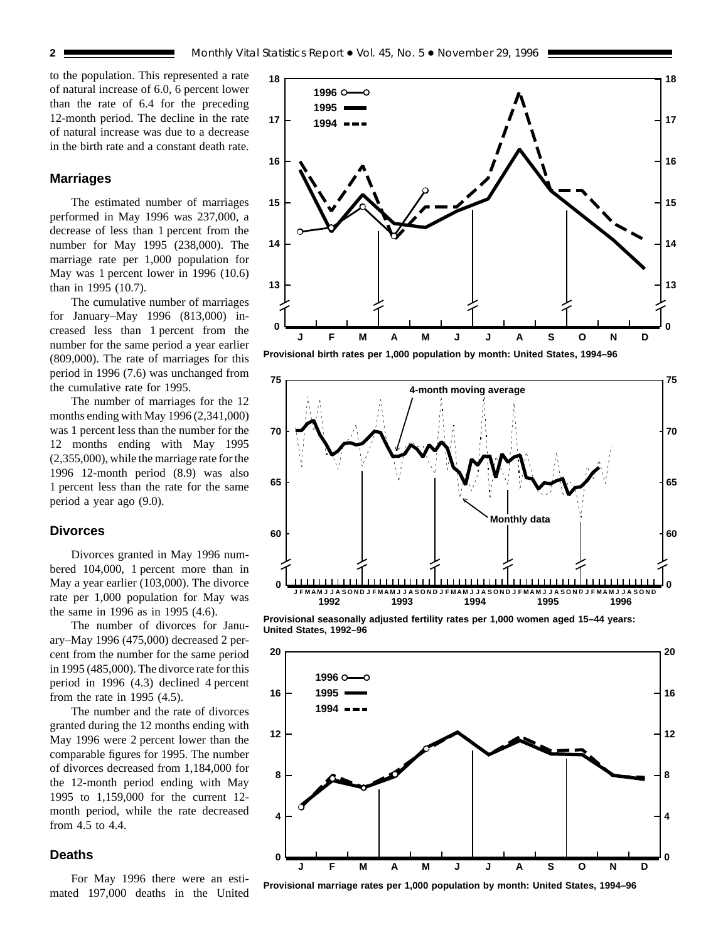to the population. This represented a rate of natural increase of 6.0, 6 percent lower than the rate of 6.4 for the preceding 12-month period. The decline in the rate of natural increase was due to a decrease in the birth rate and a constant death rate.

#### **Marriages**

The estimated number of marriages performed in May 1996 was 237,000, a decrease of less than 1 percent from the number for May 1995 (238,000). The marriage rate per 1,000 population for May was 1 percent lower in 1996 (10.6) than in 1995 (10.7).

The cumulative number of marriages for January–May 1996 (813,000) increased less than 1 percent from the number for the same period a year earlier (809,000). The rate of marriages for this period in 1996 (7.6) was unchanged from the cumulative rate for 1995.

The number of marriages for the 12 months ending with May 1996 (2,341,000) was 1 percent less than the number for the 12 months ending with May 1995 (2,355,000), while the marriage rate for the 1996 12-month period (8.9) was also 1 percent less than the rate for the same period a year ago (9.0).

### **Divorces**

Divorces granted in May 1996 numbered 104,000, 1 percent more than in May a year earlier (103,000). The divorce rate per 1,000 population for May was the same in 1996 as in 1995 (4.6).

The number of divorces for January–May 1996 (475,000) decreased 2 percent from the number for the same period in 1995 (485,000). The divorce rate for this period in 1996 (4.3) declined 4 percent from the rate in 1995 (4.5).

The number and the rate of divorces granted during the 12 months ending with May 1996 were 2 percent lower than the comparable figures for 1995. The number of divorces decreased from 1,184,000 for the 12-month period ending with May 1995 to 1,159,000 for the current 12 month period, while the rate decreased from 4.5 to 4.4.

## **Deaths**

For May 1996 there were an estimated 197,000 deaths in the United





**Provisional seasonally adjusted fertility rates per 1,000 women aged 15–44 years: United States, 1992–96**



**Provisional marriage rates per 1,000 population by month: United States, 1994–96**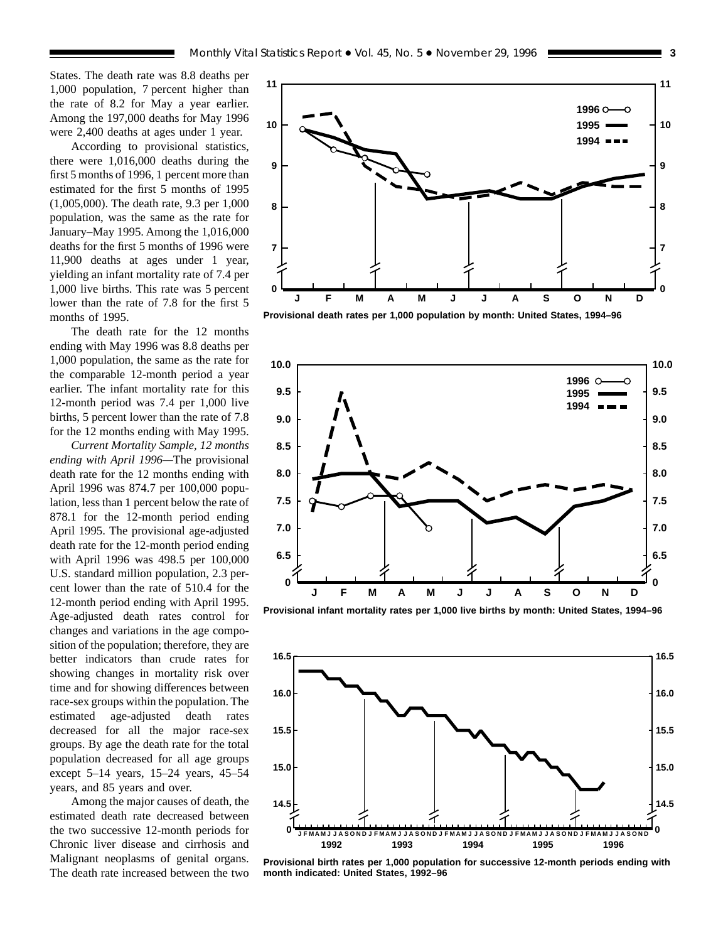States. The death rate was 8.8 deaths per 1,000 population, 7 percent higher than the rate of 8.2 for May a year earlier. Among the 197,000 deaths for May 1996 were 2,400 deaths at ages under 1 year.

According to provisional statistics, there were 1,016,000 deaths during the first 5 months of 1996, 1 percent more than estimated for the first 5 months of 1995 (1,005,000). The death rate, 9.3 per 1,000 population, was the same as the rate for January–May 1995. Among the 1,016,000 deaths for the first 5 months of 1996 were 11,900 deaths at ages under 1 year, yielding an infant mortality rate of 7.4 per 1,000 live births. This rate was 5 percent lower than the rate of 7.8 for the first 5 months of 1995.

The death rate for the 12 months ending with May 1996 was 8.8 deaths per 1,000 population, the same as the rate for the comparable 12-month period a year earlier. The infant mortality rate for this 12-month period was 7.4 per 1,000 live births, 5 percent lower than the rate of 7.8 for the 12 months ending with May 1995.

*Current Mortality Sample, 12 months ending with April 1996—*The provisional death rate for the 12 months ending with April 1996 was 874.7 per 100,000 population, less than 1 percent below the rate of 878.1 for the 12-month period ending April 1995. The provisional age-adjusted death rate for the 12-month period ending with April 1996 was 498.5 per 100,000 U.S. standard million population, 2.3 percent lower than the rate of 510.4 for the 12-month period ending with April 1995. Age-adjusted death rates control for changes and variations in the age composition of the population; therefore, they are better indicators than crude rates for showing changes in mortality risk over time and for showing differences between race-sex groups within the population. The estimated age-adjusted death rates decreased for all the major race-sex groups. By age the death rate for the total population decreased for all age groups except 5–14 years, 15–24 years, 45–54 years, and 85 years and over.

Among the major causes of death, the estimated death rate decreased between the two successive 12-month periods for Chronic liver disease and cirrhosis and Malignant neoplasms of genital organs. The death rate increased between the two



**Provisional death rates per 1,000 population by month: United States, 1994–96**



**Provisional infant mortality rates per 1,000 live births by month: United States, 1994–96**



**Provisional birth rates per 1,000 population for successive 12-month periods ending with month indicated: United States, 1992–96**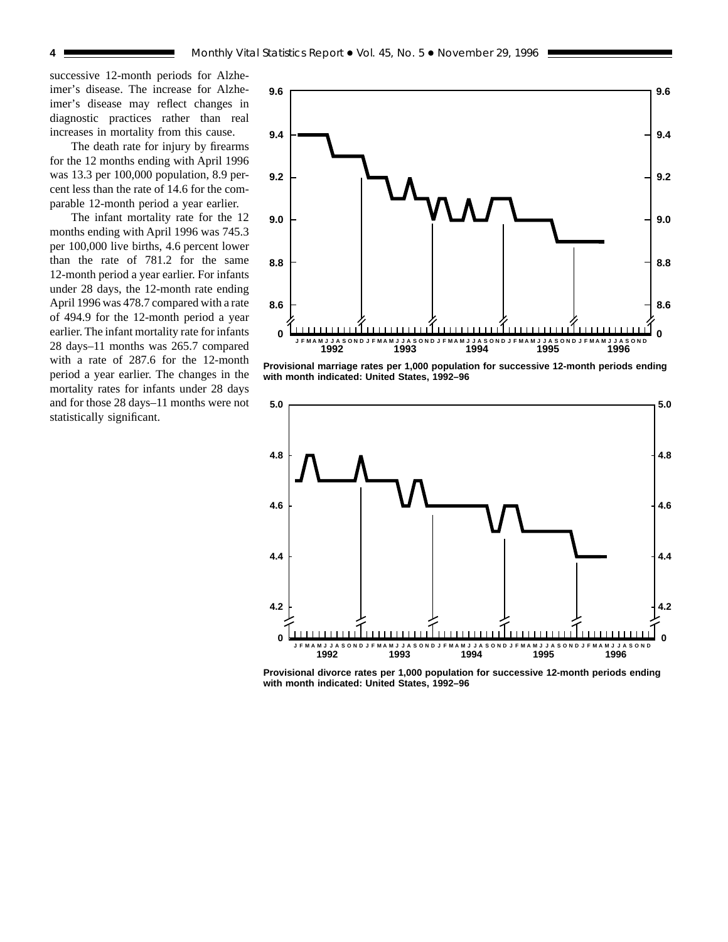successive 12-month periods for Alzheimer's disease. The increase for Alzheimer's disease may reflect changes in diagnostic practices rather than real increases in mortality from this cause.

The death rate for injury by firearms for the 12 months ending with April 1996 was 13.3 per 100,000 population, 8.9 percent less than the rate of 14.6 for the comparable 12-month period a year earlier.

The infant mortality rate for the 12 months ending with April 1996 was 745.3 per 100,000 live births, 4.6 percent lower than the rate of 781.2 for the same 12-month period a year earlier. For infants under 28 days, the 12-month rate ending April 1996 was 478.7 compared with a rate of 494.9 for the 12-month period a year earlier. The infant mortality rate for infants 28 days–11 months was 265.7 compared with a rate of 287.6 for the 12-month period a year earlier. The changes in the mortality rates for infants under 28 days and for those 28 days–11 months were not statistically significant.



**Provisional marriage rates per 1,000 population for successive 12-month periods ending with month indicated: United States, 1992–96**



**Provisional divorce rates per 1,000 population for successive 12-month periods ending with month indicated: United States, 1992–96**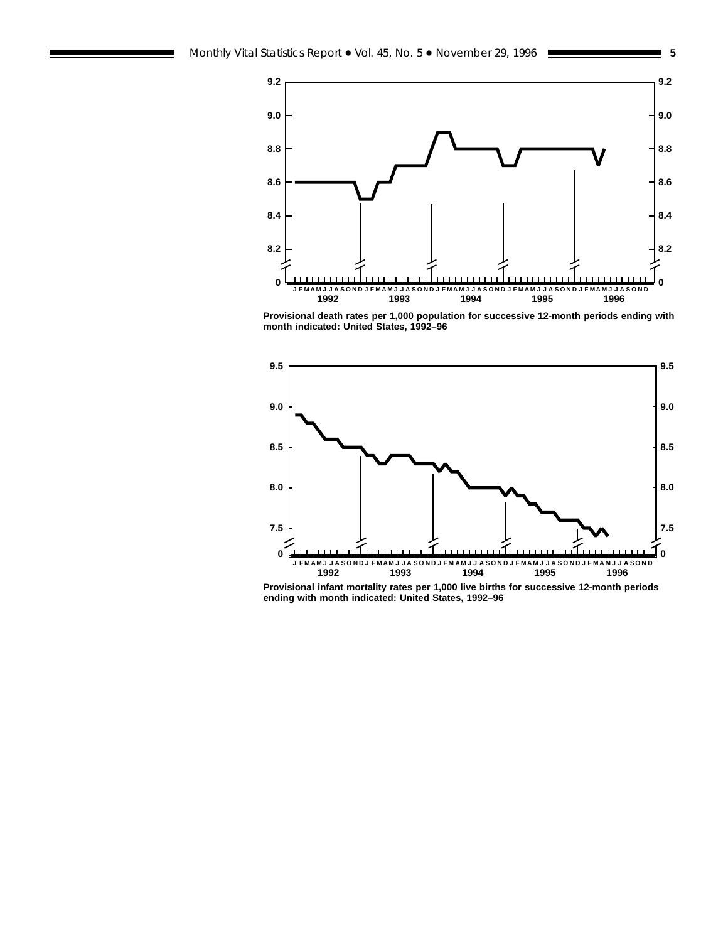



**Provisional death rates per 1,000 population for successive 12-month periods ending with month indicated: United States, 1992–96**



**Provisional infant mortality rates per 1,000 live births for successive 12-month periods ending with month indicated: United States, 1992–96**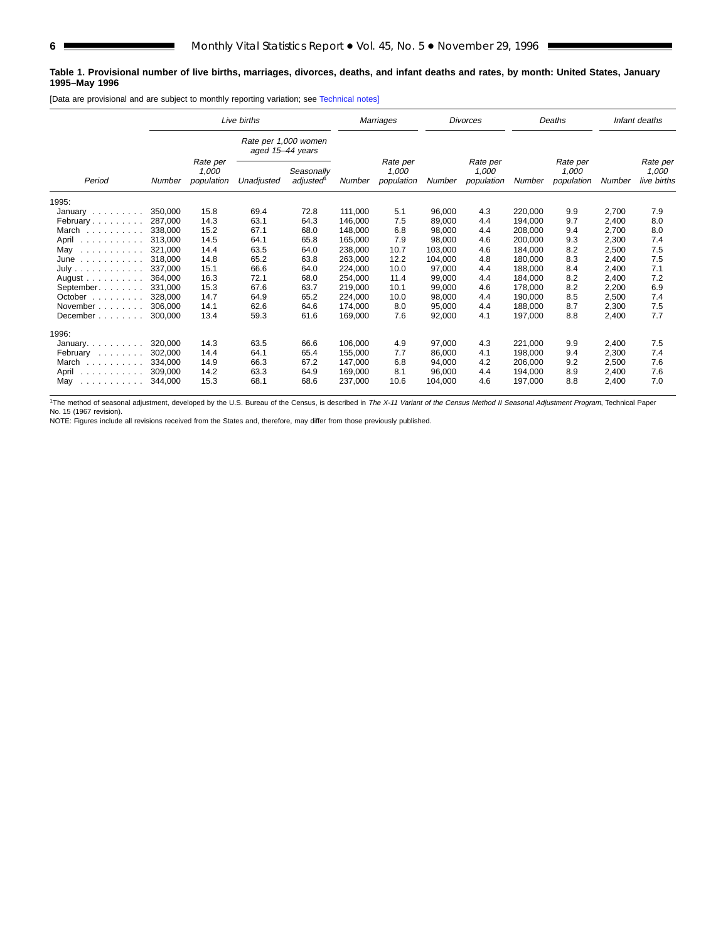#### **Table 1. Provisional number of live births, marriages, divorces, deaths, and infant deaths and rates, by month: United States, January 1995–May 1996**

[Data are provisional and are subject to monthly reporting variation; see [Technical notes\]](#page-16-0)

|                                                                                                          |         |                                 | Live births                              |                                 |         | Marriages                       |         | <b>Divorces</b>                  |         | Deaths |       | Infant deaths |
|----------------------------------------------------------------------------------------------------------|---------|---------------------------------|------------------------------------------|---------------------------------|---------|---------------------------------|---------|----------------------------------|---------|--------|-------|---------------|
|                                                                                                          |         |                                 | Rate per 1,000 women<br>aged 15-44 years |                                 |         |                                 |         |                                  |         |        |       |               |
| Rate per<br>1,000<br>Seasonally<br>Unadjusted<br>adjusted <sup>1</sup><br>Period<br>population<br>Number | Number  | Rate per<br>1.000<br>population | Number                                   | Rate per<br>1.000<br>population | Number  | Rate per<br>1.000<br>population | Number  | Rate per<br>1,000<br>live births |         |        |       |               |
| 1995:                                                                                                    |         |                                 |                                          |                                 |         |                                 |         |                                  |         |        |       |               |
| January $\ldots$ , $\ldots$                                                                              | 350,000 | 15.8                            | 69.4                                     | 72.8                            | 111.000 | 5.1                             | 96,000  | 4.3                              | 220,000 | 9.9    | 2,700 | 7.9           |
| February                                                                                                 | 287.000 | 14.3                            | 63.1                                     | 64.3                            | 146.000 | 7.5                             | 89,000  | 4.4                              | 194.000 | 9.7    | 2,400 | 8.0           |
| March<br>and and and and and                                                                             | 338,000 | 15.2                            | 67.1                                     | 68.0                            | 148,000 | 6.8                             | 98.000  | 4.4                              | 208,000 | 9.4    | 2,700 | 8.0           |
| April                                                                                                    | 313.000 | 14.5                            | 64.1                                     | 65.8                            | 165,000 | 7.9                             | 98,000  | 4.6                              | 200,000 | 9.3    | 2,300 | 7.4           |
| May<br>.                                                                                                 | 321,000 | 14.4                            | 63.5                                     | 64.0                            | 238,000 | 10.7                            | 103.000 | 4.6                              | 184.000 | 8.2    | 2,500 | 7.5           |
| June<br>.                                                                                                | 318,000 | 14.8                            | 65.2                                     | 63.8                            | 263,000 | 12.2                            | 104,000 | 4.8                              | 180,000 | 8.3    | 2,400 | 7.5           |
| July                                                                                                     | 337.000 | 15.1                            | 66.6                                     | 64.0                            | 224,000 | 10.0                            | 97,000  | 4.4                              | 188.000 | 8.4    | 2,400 | 7.1           |
| August $\ldots$ , $\ldots$ , $\ldots$                                                                    | 364.000 | 16.3                            | 72.1                                     | 68.0                            | 254,000 | 11.4                            | 99,000  | 4.4                              | 184,000 | 8.2    | 2,400 | 7.2           |
| September.                                                                                               | 331,000 | 15.3                            | 67.6                                     | 63.7                            | 219,000 | 10.1                            | 99,000  | 4.6                              | 178,000 | 8.2    | 2,200 | 6.9           |
| October                                                                                                  | 328,000 | 14.7                            | 64.9                                     | 65.2                            | 224,000 | 10.0                            | 98,000  | 4.4                              | 190,000 | 8.5    | 2,500 | 7.4           |
| November                                                                                                 | 306.000 | 14.1                            | 62.6                                     | 64.6                            | 174,000 | 8.0                             | 95,000  | 4.4                              | 188.000 | 8.7    | 2,300 | 7.5           |
| December                                                                                                 | 300,000 | 13.4                            | 59.3                                     | 61.6                            | 169,000 | 7.6                             | 92,000  | 4.1                              | 197,000 | 8.8    | 2,400 | 7.7           |
| 1996:                                                                                                    |         |                                 |                                          |                                 |         |                                 |         |                                  |         |        |       |               |
| January. $\ldots$ .                                                                                      | 320,000 | 14.3                            | 63.5                                     | 66.6                            | 106,000 | 4.9                             | 97,000  | 4.3                              | 221,000 | 9.9    | 2,400 | 7.5           |
| February                                                                                                 | 302.000 | 14.4                            | 64.1                                     | 65.4                            | 155.000 | 7.7                             | 86.000  | 4.1                              | 198,000 | 9.4    | 2,300 | 7.4           |
| March<br>.                                                                                               | 334.000 | 14.9                            | 66.3                                     | 67.2                            | 147.000 | 6.8                             | 94,000  | 4.2                              | 206,000 | 9.2    | 2,500 | 7.6           |
| April<br>.                                                                                               | 309.000 | 14.2                            | 63.3                                     | 64.9                            | 169,000 | 8.1                             | 96,000  | 4.4                              | 194,000 | 8.9    | 2,400 | 7.6           |
| May<br>.                                                                                                 | 344,000 | 15.3                            | 68.1                                     | 68.6                            | 237,000 | 10.6                            | 104,000 | 4.6                              | 197,000 | 8.8    | 2,400 | 7.0           |

<sup>1</sup>The method of seasonal adjustment, developed by the U.S. Bureau of the Census, is described in *The X-11 Variant of the Census Method II Seasonal Adjustment Program*, Technical Paper<br>No. 15 (1967 revision).

NOTE: Figures include all revisions received from the States and, therefore, may differ from those previously published.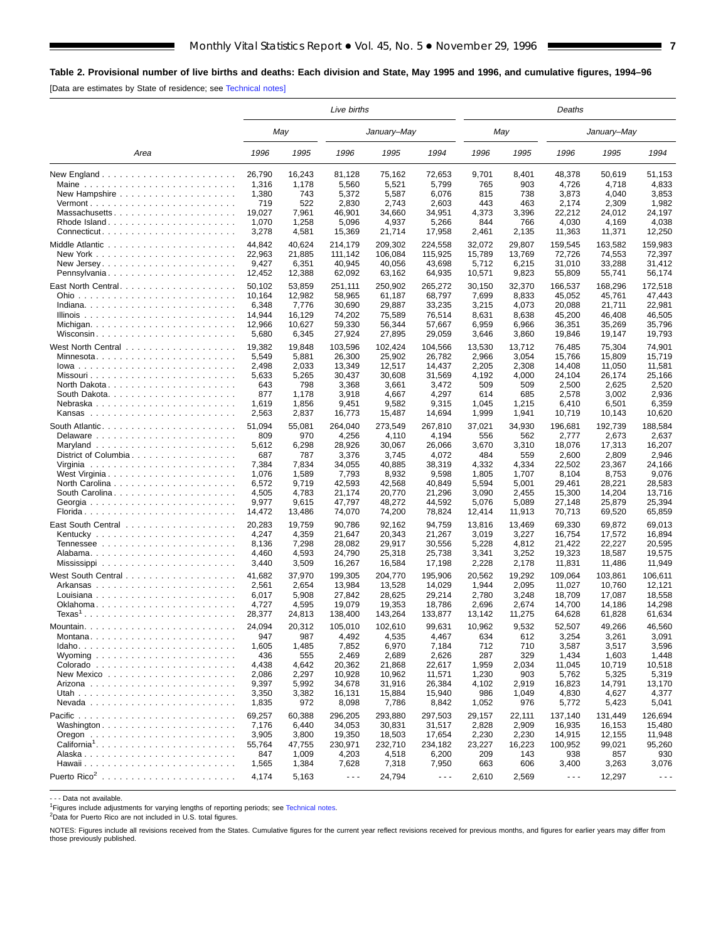<span id="page-6-0"></span>[Data are estimates by State of residence; see [Technical notes\]](#page-16-0)

|                                                            | Live births               |                           |                             |                             |                             |                          | Deaths                   |                             |                             |                             |  |  |
|------------------------------------------------------------|---------------------------|---------------------------|-----------------------------|-----------------------------|-----------------------------|--------------------------|--------------------------|-----------------------------|-----------------------------|-----------------------------|--|--|
|                                                            |                           | May                       |                             | January–May                 |                             |                          | May                      |                             | January–May                 |                             |  |  |
| Area                                                       | 1996                      | 1995                      | 1996                        | 1995                        | 1994                        | 1996                     | 1995                     | 1996                        | 1995                        | 1994                        |  |  |
|                                                            | 26,790                    | 16,243                    | 81,128                      | 75,162                      | 72,653                      | 9,701                    | 8,401                    | 48,378                      | 50,619                      | 51,153                      |  |  |
|                                                            | 1,316                     | 1,178                     | 5,560                       | 5,521                       | 5,799                       | 765                      | 903                      | 4,726                       | 4,718                       | 4,833                       |  |  |
|                                                            | 1,380                     | 743                       | 5,372                       | 5,587                       | 6,076                       | 815                      | 738                      | 3,873                       | 4,040                       | 3,853                       |  |  |
|                                                            | 719                       | 522                       | 2,830                       | 2,743                       | 2,603                       | 443                      | 463                      | 2,174                       | 2,309                       | 1,982                       |  |  |
| Massachusetts                                              | 19,027                    | 7,961                     | 46,901                      | 34,660                      | 34,951                      | 4,373                    | 3,396                    | 22,212                      | 24,012                      | 24,197                      |  |  |
| Rhode Island                                               | 1,070                     | 1,258                     | 5,096                       | 4,937                       | 5,266                       | 844                      | 766                      | 4,030                       | 4,169                       | 4,038                       |  |  |
|                                                            | 3,278                     | 4,581                     | 15,369                      | 21,714                      | 17,958                      | 2,461                    | 2,135                    | 11,363                      | 11,371                      | 12,250                      |  |  |
|                                                            | 44,842                    | 40,624                    | 214,179                     | 209.302                     | 224,558                     | 32,072                   | 29,807                   | 159,545                     | 163.582                     | 159,983                     |  |  |
|                                                            | 22,963                    | 21,885                    | 111,142                     | 106,084                     | 115,925                     | 15,789                   | 13,769                   | 72.726                      | 74,553                      | 72,397                      |  |  |
|                                                            | 9,427                     | 6,351                     | 40,945                      | 40,056                      | 43,698                      | 5,712                    | 6,215                    | 31,010                      | 33,288                      | 31,412                      |  |  |
| Pennsylvania                                               | 12,452                    | 12,388                    | 62,092                      | 63,162                      | 64,935                      | 10,571                   | 9,823                    | 55,809                      | 55,741                      | 56,174                      |  |  |
| East North Central<br>Ohio                                 | 50,102<br>10,164<br>6,348 | 53,859<br>12,982<br>7,776 | 251,111<br>58,965<br>30,690 | 250,902<br>61,187<br>29,887 | 265,272<br>68,797<br>33,235 | 30,150<br>7,699<br>3,215 | 32,370<br>8,833<br>4,073 | 166,537<br>45,052<br>20,088 | 168,296<br>45,761<br>21,711 | 172,518<br>47,443<br>22,981 |  |  |
|                                                            | 14,944                    | 16,129                    | 74,202                      | 75,589                      | 76,514                      | 8,631                    | 8,638                    | 45,200                      | 46,408                      | 46,505                      |  |  |
| Michigan                                                   | 12,966                    | 10,627                    | 59,330                      | 56,344                      | 57,667                      | 6,959                    | 6,966                    | 36,351                      | 35,269                      | 35,796                      |  |  |
| Wisconsin                                                  | 5,680                     | 6,345                     | 27,924                      | 27,895                      | 29,059                      | 3,646                    | 3,860                    | 19,846                      | 19,147                      | 19,793                      |  |  |
|                                                            | 19,382                    | 19,848                    | 103,596                     | 102,424                     | 104,566                     | 13,530                   | 13,712                   | 76,485                      | 75,304                      | 74,901                      |  |  |
| Minnesota                                                  | 5,549                     | 5,881                     | 26,300                      | 25,902                      | 26,782                      | 2,966                    | 3,054                    | 15,766                      | 15,809                      | 15,719                      |  |  |
|                                                            | 2,498                     | 2,033                     | 13,349                      | 12,517                      | 14,437                      | 2,205                    | 2,308                    | 14,408                      | 11,050                      | 11,581                      |  |  |
|                                                            | 5,633                     | 5,265                     | 30,437                      | 30,608                      | 31,569                      | 4,192                    | 4,000                    | 24,104                      | 26,174                      | 25,166                      |  |  |
|                                                            | 643                       | 798                       | 3,368                       | 3,661                       | 3,472                       | 509                      | 509                      | 2,500                       | 2,625                       | 2,520                       |  |  |
|                                                            | 877                       | 1,178                     | 3,918                       | 4,667                       | 4,297                       | 614                      | 685                      | 2,578                       | 3,002                       | 2,936                       |  |  |
| Nebraska                                                   | 1,619                     | 1,856                     | 9,451                       | 9,582                       | 9,315                       | 1,045                    | 1,215                    | 6,410                       | 6,501                       | 6,359                       |  |  |
|                                                            | 2,563                     | 2,837                     | 16,773                      | 15,487                      | 14,694                      | 1,999                    | 1,941                    | 10,719                      | 10,143                      | 10,620                      |  |  |
|                                                            | 51,094                    | 55,081                    | 264,040                     | 273,549                     | 267,810                     | 37,021                   | 34,930                   | 196,681                     | 192,739                     | 188,584                     |  |  |
|                                                            | 809                       | 970                       | 4,256                       | 4,110                       | 4,194                       | 556                      | 562                      | 2,777                       | 2,673                       | 2,637                       |  |  |
|                                                            | 5,612                     | 6,298                     | 28,926                      | 30,067                      | 26,066                      | 3,670                    | 3,310                    | 18,076                      | 17,313                      | 16,207                      |  |  |
| District of Columbia                                       | 687                       | 787                       | 3,376                       | 3,745                       | 4,072                       | 484                      | 559                      | 2,600                       | 2,809                       | 2,946                       |  |  |
|                                                            | 7,384                     | 7,834                     | 34,055                      | 40,885                      | 38,319                      | 4,332                    | 4,334                    | 22,502                      | 23,367                      | 24,166                      |  |  |
| West Virginia                                              | 1,076                     | 1,589                     | 7,793                       | 8,932                       | 9,598                       | 1,805                    | 1,707                    | 8,104                       | 8,753                       | 9,076                       |  |  |
|                                                            | 6,572                     | 9,719                     | 42,593                      | 42,568                      | 40,849                      | 5,594                    | 5,001                    | 29,461                      | 28,221                      | 28,583                      |  |  |
| South Carolina                                             | 4,505                     | 4,783                     | 21,174                      | 20,770                      | 21,296                      | 3,090                    | 2,455                    | 15,300                      | 14,204                      | 13,716                      |  |  |
|                                                            | 9,977                     | 9,615                     | 47,797                      | 48,272                      | 44,592                      | 5,076                    | 5,089                    | 27,148                      | 25,879                      | 25,394                      |  |  |
|                                                            | 14,472                    | 13,486                    | 74,070                      | 74,200                      | 78,824                      | 12,414                   | 11,913                   | 70,713                      | 69,520                      | 65,859                      |  |  |
|                                                            | 20,283                    | 19,759                    | 90,786                      | 92,162                      | 94,759                      | 13,816                   | 13,469                   | 69,330                      | 69,872                      | 69,013                      |  |  |
|                                                            | 4,247                     | 4,359                     | 21,647                      | 20,343                      | 21,267                      | 3,019                    | 3,227                    | 16,754                      | 17,572                      | 16,894                      |  |  |
|                                                            | 8,136                     | 7,298                     | 28,082                      | 29,917                      | 30,556                      | 5,228                    | 4,812                    | 21,422                      | 22,227                      | 20,595                      |  |  |
|                                                            | 4,460                     | 4,593                     | 24,790                      | 25,318                      | 25,738                      | 3,341                    | 3,252                    | 19,323                      | 18,587                      | 19,575                      |  |  |
|                                                            | 3,440                     | 3,509                     | 16,267                      | 16,584                      | 17,198                      | 2,228                    | 2,178                    | 11,831                      | 11,486                      | 11,949                      |  |  |
|                                                            | 41.682                    | 37,970                    | 199,305                     | 204,770                     | 195,906                     | 20,562                   | 19,292                   | 109,064                     | 103,861                     | 106.611                     |  |  |
|                                                            | 2,561                     | 2,654                     | 13,984                      | 13,528                      | 14,029                      | 1,944                    | 2,095                    | 11,027                      | 10,760                      | 12,121                      |  |  |
|                                                            | 6,017                     | 5,908                     | 27,842                      | 28,625                      | 29,214                      | 2,780                    | 3,248                    | 18,709                      | 17,087                      | 18,558                      |  |  |
| Oklahoma                                                   | 4,727                     | 4,595                     | 19,079                      | 19,353                      | 18,786                      | 2,696                    | 2,674                    | 14,700                      | 14,186                      | 14.298                      |  |  |
| $Texas1$                                                   | 28,377                    | 24,813                    | 138,400                     | 143,264                     | 133,877                     | 13,142                   | 11,275                   | 64,628                      | 61,828                      | 61,634                      |  |  |
|                                                            | 24,094                    | 20,312                    | 105,010                     | 102,610                     | 99,631                      | 10,962                   | 9,532                    | 52,507                      | 49,266                      | 46,560                      |  |  |
| Montana                                                    | 947                       | 987                       | 4,492                       | 4,535                       | 4,467                       | 634                      | 612                      | 3,254                       | 3,261                       | 3,091                       |  |  |
|                                                            | 1,605                     | 1,485                     | 7,852                       | 6,970                       | 7,184                       | 712                      | 710                      | 3,587                       | 3,517                       | 3,596                       |  |  |
| Wyoming $\ldots \ldots \ldots \ldots \ldots \ldots \ldots$ | 436                       | 555                       | 2,469                       | 2,689                       | 2,626                       | 287                      | 329                      | 1,434                       | 1,603                       | 1,448                       |  |  |
|                                                            | 4,438                     | 4,642                     | 20,362                      | 21,868                      | 22,617                      | 1,959                    | 2,034                    | 11,045                      | 10,719                      | 10,518                      |  |  |
|                                                            | 2,086                     | 2,297                     | 10,928                      | 10,962                      | 11,571                      | 1,230                    | 903                      | 5,762                       | 5,325                       | 5,319                       |  |  |
|                                                            | 9,397                     | 5,992                     | 34,678                      | 31,916                      | 26,384                      | 4,102                    | 2,919                    | 16,823                      | 14,791                      | 13,170                      |  |  |
|                                                            | 3,350                     | 3,382                     | 16,131                      | 15,884                      | 15,940                      | 986                      | 1,049                    | 4,830                       | 4,627                       | 4,377                       |  |  |
|                                                            | 1,835                     | 972                       | 8,098                       | 7,786                       | 8,842                       | 1,052                    | 976                      | 5,772                       | 5,423                       | 5,041                       |  |  |
|                                                            | 69,257                    | 60,388                    | 296,205                     | 293,880                     | 297,503                     | 29,157                   | 22,111                   | 137,140                     | 131,449                     | 126,694                     |  |  |
| Washington                                                 | 7,176                     | 6,440                     | 34,053                      | 30,831                      | 31,517                      | 2,828                    | 2,909                    | 16,935                      | 16,153                      | 15,480                      |  |  |
|                                                            | 3,905                     | 3,800                     | 19,350                      | 18,503                      | 17,654                      | 2,230                    | 2,230                    | 14,915                      | 12,155                      | 11,948                      |  |  |
| California <sup>1</sup>                                    | 55,764                    | 47,755                    | 230,971                     | 232,710                     | 234,182                     | 23,227                   | 16,223                   | 100,952                     | 99,021                      | 95,260                      |  |  |
|                                                            | 847                       | 1,009                     | 4,203                       | 4,518                       | 6,200                       | 209                      | 143                      | 938                         | 857                         | 930                         |  |  |
|                                                            | 1,565                     | 1,384                     | 7,628                       | 7,318                       | 7,950                       | 663                      | 606                      | 3,400                       | 3,263                       | 3,076                       |  |  |
|                                                            | 4,174                     | 5,163                     | $\sim$ $\sim$ $\sim$        | 24,794                      | $\sim$ $\sim$ $\sim$        | 2,610                    | 2,569                    | $- - -$                     | 12,297                      | $- - -$                     |  |  |

- - - Data not available.

<sup>1</sup>Figures include adjustments for varying lengths of reporting periods; see [Technical notes](#page-16-0).

2Data for Puerto Rico are not included in U.S. total figures.

NOTES: Figures include all revisions received from the States. Cumulative figures for the current year reflect revisions received for previous months, and figures for earlier years may differ from those previously published.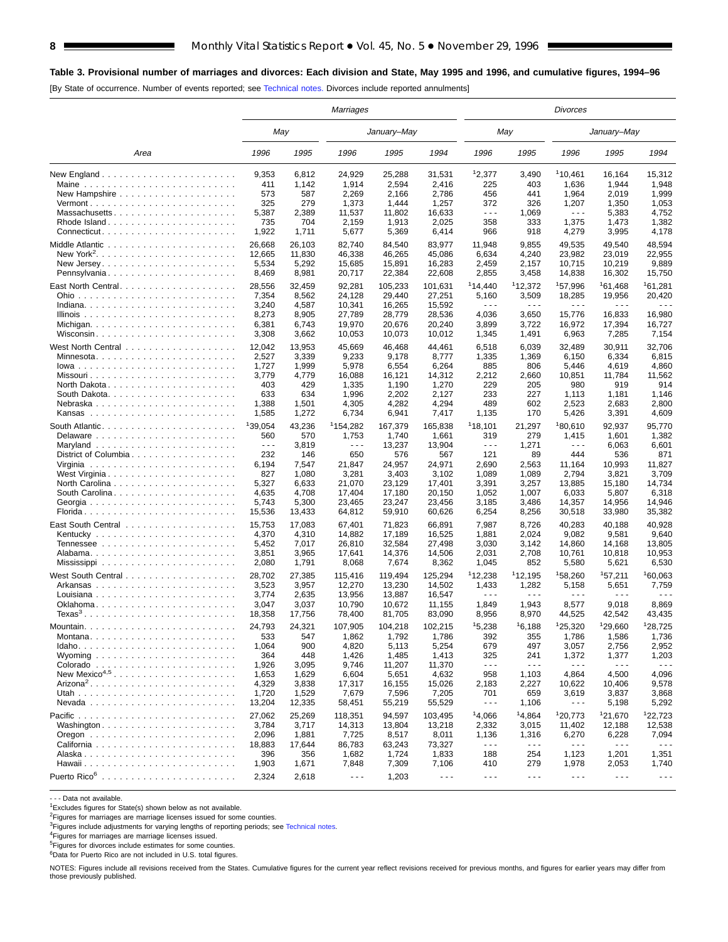#### **Table 3. Provisional number of marriages and divorces: Each division and State, May 1995 and 1996, and cumulative figures, 1994–96**

[By State of occurrence. Number of events reported; see [Technical notes.](#page-16-0) Divorces include reported annulments]

|                                                                                     | Marriages            |        |                      |             |                      |                      | Divorces             |                      |                      |                      |  |  |
|-------------------------------------------------------------------------------------|----------------------|--------|----------------------|-------------|----------------------|----------------------|----------------------|----------------------|----------------------|----------------------|--|--|
|                                                                                     |                      | May    |                      | January–May |                      |                      | May                  |                      | January-May          |                      |  |  |
| Area                                                                                | 1996                 | 1995   | 1996                 | 1995        | 1994                 | 1996                 | 1995                 | 1996                 | 1995                 | 1994                 |  |  |
|                                                                                     | 9,353                | 6,812  | 24,929               | 25,288      | 31,531               | 12,377               | 3,490                | 110,461              | 16,164               | 15,312               |  |  |
| Maine                                                                               | 411                  | 1,142  | 1,914                | 2.594       | 2,416                | 225                  | 403                  | 1,636                | 1,944                | 1,948                |  |  |
|                                                                                     | 573                  | 587    | 2,269                | 2,166       | 2,786                | 456                  | 441                  | 1,964                | 2,019                | 1,999                |  |  |
| $Vermont$                                                                           | 325                  | 279    | 1,373                | 1,444       | 1,257                | 372                  | 326                  | 1,207                | 1,350                | 1,053                |  |  |
| Massachusetts                                                                       | 5,387                | 2,389  | 11,537               | 11,802      | 16,633               | $  -$                | 1.069                | $\sim$ $\sim$ $\sim$ | 5,383                | 4,752                |  |  |
| Rhode Island                                                                        | 735                  | 704    | 2,159                | 1,913       | 2,025                | 358                  | 333                  | 1,375                | 1,473                | 1,382                |  |  |
|                                                                                     | 1,922                | 1,711  | 5,677                | 5,369       | 6,414                | 966                  | 918                  | 4,279                | 3,995                | 4,178                |  |  |
|                                                                                     | 26,668               | 26,103 | 82,740               | 84,540      | 83,977               | 11,948               | 9,855                | 49,535               | 49,540               | 48,594               |  |  |
|                                                                                     | 12,665               | 11,830 | 46,338               | 46,265      | 45,086               | 6,634                | 4,240                | 23,982               | 23,019               | 22,955               |  |  |
| New Jersey. $\ldots$ . $\ldots$ . $\ldots$ . $\ldots$ . $\ldots$ . $\ldots$ .       | 5,534                | 5,292  | 15,685               | 15,891      | 16,283               | 2,459                | 2,157                | 10,715               | 10,219               | 9,889                |  |  |
| Pennsylvania                                                                        | 8,469                | 8,981  | 20,717               | 22,384      | 22,608               | 2,855                | 3,458                | 14,838               | 16,302               | 15,750               |  |  |
|                                                                                     | 28,556               | 32,459 | 92,281               | 105,233     | 101,631              | 114,440              | <sup>1</sup> 12,372  | 157,996              | 161,468              | 161,281              |  |  |
|                                                                                     | 7,354                | 8,562  | 24,128               | 29,440      | 27,251               | 5,160                | 3,509                | 18,285               | 19,956               | 20,420               |  |  |
|                                                                                     | 3,240                | 4,587  | 10,341               | 16,265      | 15,592               | $  -$                | $\sim$ $\sim$ $\sim$ | .                    | $  -$                | $\sim$ $\sim$ $\sim$ |  |  |
|                                                                                     | 8,273                | 8,905  | 27,789               | 28,779      | 28,536               | 4,036                | 3,650                | 15,776               | 16,833               | 16,980               |  |  |
|                                                                                     | 6,381                | 6,743  | 19,970               | 20,676      | 20,240               | 3,899                | 3,722                | 16,972               | 17,394               | 16,727               |  |  |
| Wisconsin                                                                           | 3,308                | 3,662  | 10,053               | 10,073      | 10,012               | 1,345                | 1,491                | 6,963                | 7,285                | 7,154                |  |  |
|                                                                                     |                      |        |                      |             |                      |                      |                      |                      |                      |                      |  |  |
|                                                                                     | 12,042               | 13,953 | 45,669               | 46,468      | 44,461               | 6,518                | 6,039                | 32,489               | 30,911               | 32,706               |  |  |
| Minnesota                                                                           | 2,527                | 3,339  | 9,233                | 9,178       | 8,777                | 1,335                | 1,369                | 6,150                | 6,334                | 6,815                |  |  |
| lowa                                                                                | 1,727                | 1,999  | 5,978                | 6,554       | 6,264                | 885                  | 806                  | 5,446                | 4,619                | 4,860                |  |  |
|                                                                                     | 3,779                | 4,779  | 16,088               | 16,121      | 14,312               | 2,212                | 2,660                | 10,851               | 11,784               | 11,562               |  |  |
| North Dakota                                                                        | 403                  | 429    | 1,335                | 1,190       | 1,270                | 229                  | 205                  | 980                  | 919                  | 914                  |  |  |
|                                                                                     | 633                  | 634    | 1,996                | 2,202       | 2,127                | 233                  | 227                  | 1,113                | 1,181                | 1,146                |  |  |
| Nebraska                                                                            | 1,388                | 1,501  | 4,305                | 4,282       | 4,294                | 489                  | 602                  | 2,523                | 2,683                | 2,800                |  |  |
|                                                                                     | 1,585                | 1,272  | 6,734                | 6,941       | 7,417                | 1,135                | 170                  | 5,426                | 3,391                | 4,609                |  |  |
|                                                                                     | <sup>1</sup> 39,054  | 43,236 | <sup>1</sup> 154,282 | 167,379     | 165,838              | 118,101              | 21,297               | 180,610              | 92,937               | 95,770               |  |  |
| Delaware $\ldots$ , $\ldots$ , $\ldots$ , $\ldots$ , $\ldots$ , $\ldots$ , $\ldots$ | 560                  | 570    | 1,753                | 1,740       | 1,661                | 319                  | 279                  | 1,415                | 1,601                | 1,382                |  |  |
|                                                                                     | $\sim$ $\sim$ $\sim$ | 3,819  | $\sim$ $\sim$ $\sim$ | 13,237      | 13,904               | $\sim$ $\sim$ $\sim$ | 1,271                | .                    | 6,063                | 6,601                |  |  |
| District of Columbia                                                                | 232                  | 146    | 650                  | 576         | 567                  | 121                  | 89                   | 444                  | 536                  | 871                  |  |  |
|                                                                                     | 6,194                | 7,547  | 21,847               | 24,957      | 24,971               | 2,690                | 2,563                | 11,164               | 10,993               | 11,827               |  |  |
|                                                                                     | 827                  | 1,080  | 3,281                | 3,403       | 3,102                | 1,089                | 1,089                | 2,794                | 3,821                | 3,709                |  |  |
|                                                                                     | 5,327                | 6,633  | 21,070               | 23,129      | 17,401               | 3,391                | 3,257                | 13,885               | 15,180               | 14,734               |  |  |
|                                                                                     | 4,635                | 4,708  | 17,404               | 17,180      | 20,150               | 1,052                | 1,007                | 6,033                | 5,807                | 6,318                |  |  |
| Georgia                                                                             | 5,743                | 5,300  | 23,465               | 23,247      | 23,456               | 3,185                | 3,486                | 14,357               | 14,956               | 14,946               |  |  |
|                                                                                     | 15,536               | 13,433 | 64,812               | 59,910      | 60,626               | 6,254                | 8,256                | 30,518               | 33,980               | 35,382               |  |  |
|                                                                                     | 15,753               | 17,083 | 67,401               | 71,823      | 66,891               | 7,987                | 8,726                | 40,283               | 40,188               | 40,928               |  |  |
|                                                                                     | 4,370                | 4,310  | 14,882               | 17,189      | 16,525               | 1,881                | 2,024                | 9,082                | 9,581                | 9,640                |  |  |
|                                                                                     | 5,452                | 7,017  | 26,810               | 32,584      | 27,498               | 3,030                | 3,142                | 14,860               | 14,168               | 13,805               |  |  |
|                                                                                     | 3,851                | 3,965  | 17,641               | 14,376      | 14,506               | 2,031                | 2,708                | 10,761               | 10,818               | 10,953               |  |  |
|                                                                                     | 2,080                | 1,791  | 8,068                | 7,674       | 8,362                | 1,045                | 852                  | 5,580                | 5,621                | 6,530                |  |  |
|                                                                                     |                      |        |                      |             |                      |                      |                      |                      |                      |                      |  |  |
|                                                                                     | 28,702               | 27,385 | 115,416              | 119,494     | 125,294              | 112,238              | 112,195              | 158,260              | 157,211              | 160,063              |  |  |
|                                                                                     | 3,523                | 3,957  | 12,270               | 13,230      | 14,502               | 1,433                | 1,282<br>- - -       | 5,158<br>- - -       | 5,651                | 7,759                |  |  |
|                                                                                     | 3,774                | 2,635  | 13,956               | 13,887      | 16,547               | $- - -$              |                      |                      | $  -$                |                      |  |  |
| Oklahoma                                                                            | 3,047                | 3,037  | 10,790               | 10,672      | 11,155               | 1,849                | 1,943                | 8,577                | 9,018                | 8,869                |  |  |
| $Texas3$                                                                            | 18,358               | 17,756 | 78,400               | 81,705      | 83,090               | 8,956                | 8,970                | 44,525               | 42,542               | 43,435               |  |  |
|                                                                                     | 24,793               | 24,321 | 107,905              | 104,218     | 102.215              | 15.238               | 16,188               | 125,320              | 129,660              | 128,725              |  |  |
|                                                                                     | 533                  | 547    | 1,862                | 1,792       | 1,786                | 392                  | 355                  | 1,786                | 1,586                | 1,736                |  |  |
| $Idaho.$                                                                            | 1,064                | 900    | 4,820                | 5,113       | 5,254                | 679                  | 497                  | 3,057                | 2,756                | 2,952                |  |  |
|                                                                                     | 364                  | 448    | 1,426                | 1,485       | 1,413                | 325                  | 241                  | 1,372                | 1,377                | 1,203                |  |  |
|                                                                                     | 1,926                | 3,095  | 9,746                | 11,207      | 11,370               | $- - -$              | $\sim$ $\sim$ $\sim$ | $- - -$              | $- - -$              | $\sim$ $\sim$ $\sim$ |  |  |
| New Mexico <sup>4,5</sup>                                                           | 1,653                | 1,629  | 6,604                | 5,651       | 4,632                | 958                  | 1,103                | 4,864                | 4,500                | 4,096                |  |  |
| $Arizona2$                                                                          | 4,329                | 3,838  | 17,317               | 16,155      | 15,026               | 2,183                | 2,227                | 10,622               | 10,406               | 9,578                |  |  |
|                                                                                     | 1,720                | 1,529  | 7,679                | 7,596       | 7,205                | 701                  | 659                  | 3,619                | 3,837                | 3,868                |  |  |
|                                                                                     | 13,204               | 12,335 | 58,451               | 55,219      | 55,529               | .                    | 1,106                | $- - -$              | 5,198                | 5,292                |  |  |
|                                                                                     | 27,062               | 25,269 | 118,351              | 94,597      | 103,495              | 14,066               | <sup>1</sup> 4,864   | 120,773              | <sup>1</sup> 21,670  | <sup>1</sup> 22,723  |  |  |
| Washington                                                                          | 3,784                | 3,717  | 14,313               | 13,804      | 13,218               | 2,332                | 3,015                | 11,402               | 12,188               | 12,538               |  |  |
|                                                                                     | 2,096                | 1,881  | 7,725                | 8,517       | 8,011                | 1,136                | 1,316                | 6,270                | 6,228                | 7,094                |  |  |
|                                                                                     | 18,883               | 17,644 | 86,783               | 63,243      | 73,327               | $- - -$              | $\sim$ $\sim$ $\sim$ | - - -                | $\sim$ $\sim$ $\sim$ | $\sim$ $\sim$ $\sim$ |  |  |
|                                                                                     | 396                  | 356    | 1,682                | 1,724       | 1,833                | 188                  | 254                  | 1,123                | 1,201                | 1,351                |  |  |
|                                                                                     | 1,903                | 1,671  | 7,848                | 7,309       | 7,106                | 410                  | 279                  | 1,978                | 2,053                | 1,740                |  |  |
|                                                                                     |                      |        |                      |             |                      |                      |                      |                      |                      |                      |  |  |
|                                                                                     | 2,324                | 2,618  | $\sim$ $\sim$ $\sim$ | 1,203       | $\sim$ $\sim$ $\sim$ | $- - -$              | $- - -$              | $\sim$ $\sim$ $\sim$ | $\sim$ $\sim$ $\sim$ | $  -$                |  |  |

- - - Data not available.

<sup>1</sup>Excludes figures for State(s) shown below as not available.

<sup>2</sup>Figures for marriages are marriage licenses issued for some counties.

<sup>3</sup>Figures include adjustments for varying lengths of reporting periods; see [Technical notes](#page-16-0).<br><sup>4</sup>Figures for marriages are marriage licenses issued.

5Figures for divorces include estimates for some counties.

 $6$ Data for Puerto Rico are not included in U.S. total figures.

NOTES: Figures include all revisions received from the States. Cumulative figures for the current year reflect revisions received for previous months, and figures for earlier years may differ from those previously published.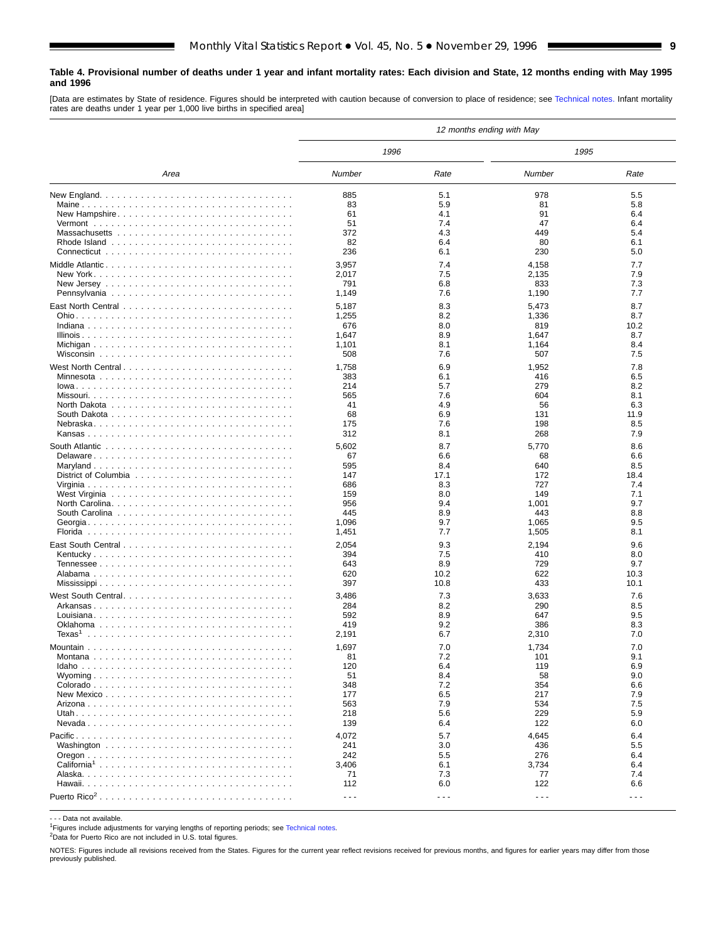#### <span id="page-8-0"></span>**Table 4. Provisional number of deaths under 1 year and infant mortality rates: Each division and State, 12 months ending with May 1995 and 1996**

[Data are estimates by State of residence. Figures should be interpreted with caution because of conversion to place of residence; see Technical notes. Infant mortality rates are deaths under 1 year per 1,000 live births in specified area]

|                                                                                    |                      |            | 12 months ending with May |                                                                                                                                                                                                                                                                                                                                                                                              |
|------------------------------------------------------------------------------------|----------------------|------------|---------------------------|----------------------------------------------------------------------------------------------------------------------------------------------------------------------------------------------------------------------------------------------------------------------------------------------------------------------------------------------------------------------------------------------|
|                                                                                    | 1996                 |            | 1995                      |                                                                                                                                                                                                                                                                                                                                                                                              |
| Area                                                                               | Number               | Rate       | Number                    | Rate                                                                                                                                                                                                                                                                                                                                                                                         |
|                                                                                    | 885                  | 5.1        | 978                       | 5.5                                                                                                                                                                                                                                                                                                                                                                                          |
|                                                                                    | 83                   | 5.9        | 81                        | 5.8                                                                                                                                                                                                                                                                                                                                                                                          |
| New Hampshire                                                                      | 61                   | 4.1        | 91                        | 6.4                                                                                                                                                                                                                                                                                                                                                                                          |
|                                                                                    | 51                   | 7.4        | 47                        | 6.4                                                                                                                                                                                                                                                                                                                                                                                          |
|                                                                                    | 372                  | 4.3        | 449                       | 5.4                                                                                                                                                                                                                                                                                                                                                                                          |
|                                                                                    | 82                   | 6.4        | 80                        | 6.1                                                                                                                                                                                                                                                                                                                                                                                          |
|                                                                                    | 236                  | 6.1        | 230                       | 5.0                                                                                                                                                                                                                                                                                                                                                                                          |
|                                                                                    | 3,957                | 7.4        | 4,158                     | 7.7                                                                                                                                                                                                                                                                                                                                                                                          |
|                                                                                    | 2,017                | 7.5        | 2,135                     | 7.9                                                                                                                                                                                                                                                                                                                                                                                          |
| New Jersey $\ldots \ldots \ldots \ldots \ldots \ldots \ldots \ldots \ldots \ldots$ | 791                  | 6.8        | 833                       | 7.3                                                                                                                                                                                                                                                                                                                                                                                          |
|                                                                                    | 1,149                | 7.6        | 1,190                     | 7.7                                                                                                                                                                                                                                                                                                                                                                                          |
|                                                                                    | 5,187                | 8.3        | 5,473                     | 8.7                                                                                                                                                                                                                                                                                                                                                                                          |
|                                                                                    | 1,255                | 8.2        | 1,336                     | 8.7                                                                                                                                                                                                                                                                                                                                                                                          |
|                                                                                    | 676                  | 8.0        | 819                       | 10.2                                                                                                                                                                                                                                                                                                                                                                                         |
|                                                                                    | 1,647                | 8.9        | 1,647                     | 8.7<br>8.4                                                                                                                                                                                                                                                                                                                                                                                   |
|                                                                                    | 1,101<br>508         | 8.1<br>7.6 | 1,164<br>507              | 7.5                                                                                                                                                                                                                                                                                                                                                                                          |
|                                                                                    |                      |            |                           |                                                                                                                                                                                                                                                                                                                                                                                              |
|                                                                                    | 1,758                | 6.9        | 1,952                     | 7.8                                                                                                                                                                                                                                                                                                                                                                                          |
|                                                                                    | 383                  | 6.1        | 416                       | 6.5                                                                                                                                                                                                                                                                                                                                                                                          |
|                                                                                    | 214<br>565           | 5.7<br>7.6 | 279<br>604                | 8.2<br>8.1                                                                                                                                                                                                                                                                                                                                                                                   |
|                                                                                    | 41                   | 4.9        | 56                        | 6.3                                                                                                                                                                                                                                                                                                                                                                                          |
|                                                                                    | 68                   | 6.9        | 131                       | 11.9                                                                                                                                                                                                                                                                                                                                                                                         |
|                                                                                    | 175                  | 7.6        | 198                       | 8.5                                                                                                                                                                                                                                                                                                                                                                                          |
|                                                                                    | 312                  | 8.1        | 268                       | 7.9                                                                                                                                                                                                                                                                                                                                                                                          |
|                                                                                    | 5,602                | 8.7        | 5,770                     | 8.6                                                                                                                                                                                                                                                                                                                                                                                          |
|                                                                                    | 67                   | 6.6        | 68                        | 6.6                                                                                                                                                                                                                                                                                                                                                                                          |
|                                                                                    | 595                  | 8.4        | 640                       | 8.5                                                                                                                                                                                                                                                                                                                                                                                          |
|                                                                                    | 147                  | 17.1       | 172                       | 18.4                                                                                                                                                                                                                                                                                                                                                                                         |
|                                                                                    | 686                  | 8.3        | 727                       | 7.4                                                                                                                                                                                                                                                                                                                                                                                          |
|                                                                                    | 159                  | 8.0        | 149                       | 7.1                                                                                                                                                                                                                                                                                                                                                                                          |
|                                                                                    | 956                  | 9.4        | 1,001                     | 9.7                                                                                                                                                                                                                                                                                                                                                                                          |
|                                                                                    | 445                  | 8.9        | 443                       | 8.8                                                                                                                                                                                                                                                                                                                                                                                          |
|                                                                                    | 1,096                | 9.7        | 1,065                     | 9.5                                                                                                                                                                                                                                                                                                                                                                                          |
|                                                                                    | 1,451                | 7.7        | 1,505                     | 8.1                                                                                                                                                                                                                                                                                                                                                                                          |
|                                                                                    | 2,054                | 9.3        | 2,194                     | 9.6                                                                                                                                                                                                                                                                                                                                                                                          |
|                                                                                    | 394                  | 7.5        | 410                       | 8.0                                                                                                                                                                                                                                                                                                                                                                                          |
|                                                                                    | 643                  | 8.9        | 729                       | 9.7                                                                                                                                                                                                                                                                                                                                                                                          |
|                                                                                    | 620                  | 10.2       | 622                       | 10.3                                                                                                                                                                                                                                                                                                                                                                                         |
|                                                                                    | 397                  | 10.8       | 433                       | 10.1                                                                                                                                                                                                                                                                                                                                                                                         |
|                                                                                    | 3,486                | 7.3        | 3,633                     | 7.6                                                                                                                                                                                                                                                                                                                                                                                          |
|                                                                                    | 284                  | 8.2        | 290                       | 8.5                                                                                                                                                                                                                                                                                                                                                                                          |
|                                                                                    | 592                  | 8.9        | 647                       | 9.5                                                                                                                                                                                                                                                                                                                                                                                          |
|                                                                                    | 419                  | 9.2        | 386                       | 8.3                                                                                                                                                                                                                                                                                                                                                                                          |
| Texas <sup>1</sup>                                                                 | 2,191                | 6.7        | 2,310                     | 7.0                                                                                                                                                                                                                                                                                                                                                                                          |
|                                                                                    | 1,697                | 7.0        | 1,734                     | 7.0                                                                                                                                                                                                                                                                                                                                                                                          |
|                                                                                    | 81                   | 7.2        | 101                       | 9.1                                                                                                                                                                                                                                                                                                                                                                                          |
|                                                                                    | 120                  | 6.4        | 119                       | 6.9                                                                                                                                                                                                                                                                                                                                                                                          |
|                                                                                    | 51                   | 8.4        | 58                        | 9.0                                                                                                                                                                                                                                                                                                                                                                                          |
|                                                                                    | 348                  | 7.2        | 354                       | 6.6                                                                                                                                                                                                                                                                                                                                                                                          |
|                                                                                    | 177                  | 6.5<br>7.9 | 217                       | 7.9<br>7.5                                                                                                                                                                                                                                                                                                                                                                                   |
|                                                                                    | 563<br>218           | 5.6        | 534<br>229                | 5.9                                                                                                                                                                                                                                                                                                                                                                                          |
|                                                                                    | 139                  | 6.4        | 122                       | 6.0                                                                                                                                                                                                                                                                                                                                                                                          |
|                                                                                    |                      |            |                           |                                                                                                                                                                                                                                                                                                                                                                                              |
|                                                                                    | 4,072                | 5.7        | 4,645                     | 6.4                                                                                                                                                                                                                                                                                                                                                                                          |
|                                                                                    | 241                  | 3.0        | 436                       | 5.5                                                                                                                                                                                                                                                                                                                                                                                          |
|                                                                                    | 242                  | 5.5        | 276                       | 6.4                                                                                                                                                                                                                                                                                                                                                                                          |
|                                                                                    | 3,406                | 6.1        | 3,734                     | 6.4<br>7.4                                                                                                                                                                                                                                                                                                                                                                                   |
|                                                                                    | 71<br>112            | 7.3<br>6.0 | 77<br>122                 | 6.6                                                                                                                                                                                                                                                                                                                                                                                          |
|                                                                                    |                      |            |                           |                                                                                                                                                                                                                                                                                                                                                                                              |
|                                                                                    | $\sim$ $\sim$ $\sim$ | $- - -$    | $\sim$ $\sim$ $\sim$      | $\frac{1}{2} \frac{1}{2} \frac{1}{2} \frac{1}{2} \frac{1}{2} \frac{1}{2} \frac{1}{2} \frac{1}{2} \frac{1}{2} \frac{1}{2} \frac{1}{2} \frac{1}{2} \frac{1}{2} \frac{1}{2} \frac{1}{2} \frac{1}{2} \frac{1}{2} \frac{1}{2} \frac{1}{2} \frac{1}{2} \frac{1}{2} \frac{1}{2} \frac{1}{2} \frac{1}{2} \frac{1}{2} \frac{1}{2} \frac{1}{2} \frac{1}{2} \frac{1}{2} \frac{1}{2} \frac{1}{2} \frac{$ |

- - - Data not available.

<sup>1</sup>Figures include adjustments for varying lengths of reporting periods; see [Technical notes.](#page-16-0)

2Data for Puerto Rico are not included in U.S. total figures.

NOTES: Figures include all revisions received from the States. Figures for the current year reflect revisions received for previous months, and figures for earlier years may differ from those previously published.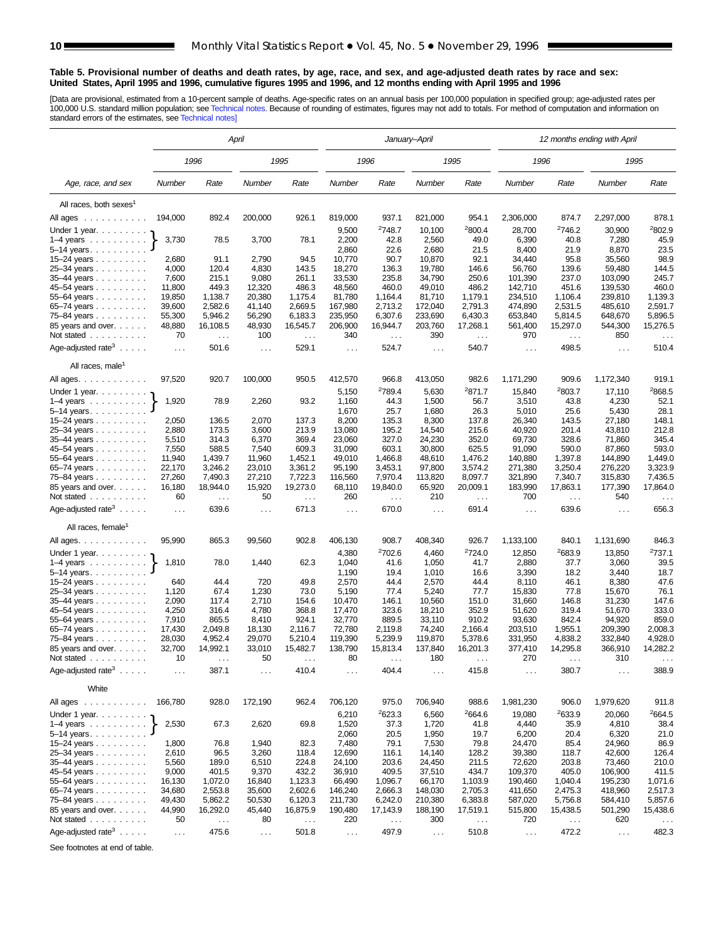#### <span id="page-9-0"></span>**Table 5. Provisional number of deaths and death rates, by age, race, and sex, and age-adjusted death rates by race and sex: United States, April 1995 and 1996, cumulative figures 1995 and 1996, and 12 months ending with April 1995 and 1996**

[Data are provisional, estimated from a 10-percent sample of deaths. Age-specific rates on an annual basis per 100,000 population in specified group; age-adjusted rates per<br>100,000 U.S. standard million population; see Tec

|                                                                                                                                                                                                                                                                                                                                                                                                                                                                       | April           |                                  |                 |                           |                      |                                  | January–April        |                                  | 12 months ending with April |                                  |                      |                           |  |  |
|-----------------------------------------------------------------------------------------------------------------------------------------------------------------------------------------------------------------------------------------------------------------------------------------------------------------------------------------------------------------------------------------------------------------------------------------------------------------------|-----------------|----------------------------------|-----------------|---------------------------|----------------------|----------------------------------|----------------------|----------------------------------|-----------------------------|----------------------------------|----------------------|---------------------------|--|--|
|                                                                                                                                                                                                                                                                                                                                                                                                                                                                       |                 | 1996                             |                 | 1995                      |                      | 1996                             |                      | 1995                             | 1996                        |                                  | 1995                 |                           |  |  |
| Age, race, and sex                                                                                                                                                                                                                                                                                                                                                                                                                                                    | Number          | Rate                             | Number          | Rate                      | Number               | Rate                             | Number               | Rate                             | Number                      | Rate                             | Number               | Rate                      |  |  |
| All races, both sexes <sup>1</sup>                                                                                                                                                                                                                                                                                                                                                                                                                                    |                 |                                  |                 |                           |                      |                                  |                      |                                  |                             |                                  |                      |                           |  |  |
| All ages<br>$\mathcal{L}^{\mathcal{A}}(\mathcal{A}^{\mathcal{A}}(\mathcal{A}^{\mathcal{A}}(\mathcal{A}^{\mathcal{A}}(\mathcal{A}^{\mathcal{A}}(\mathcal{A}^{\mathcal{A}}(\mathcal{A}^{\mathcal{A}}(\mathcal{A}^{\mathcal{A}}(\mathcal{A}^{\mathcal{A}}(\mathcal{A}^{\mathcal{A}}(\mathcal{A}^{\mathcal{A}}(\mathcal{A}^{\mathcal{A}}(\mathcal{A}^{\mathcal{A}}(\mathcal{A}^{\mathcal{A}}(\mathcal{A}^{\mathcal{A}}(\mathcal{A}^{\mathcal{A}}(\mathcal{A}^{\mathcal{A$ | 194,000         | 892.4                            | 200,000         | 926.1                     | 819,000              | 937.1                            | 821,000              | 954.1                            | 2,306,000                   | 874.7                            | 2,297,000            | 878.1                     |  |  |
| Under 1 year.                                                                                                                                                                                                                                                                                                                                                                                                                                                         |                 |                                  |                 |                           | 9,500                | 2748.7                           | 10,100               | 2800.4                           | 28,700                      | 2746.2                           | 30,900               | 2802.9                    |  |  |
| $1-4$ years                                                                                                                                                                                                                                                                                                                                                                                                                                                           | 3,730           | 78.5                             | 3,700           | 78.1                      | 2,200                | 42.8                             | 2,560                | 49.0                             | 6,390                       | 40.8                             | 7,280                | 45.9                      |  |  |
| $5 - 14$ years                                                                                                                                                                                                                                                                                                                                                                                                                                                        |                 |                                  |                 |                           | 2,860                | 22.6                             | 2,680                | 21.5                             | 8,400                       | 21.9                             | 8,870                | 23.5                      |  |  |
| 15-24 years                                                                                                                                                                                                                                                                                                                                                                                                                                                           | 2,680           | 91.1                             | 2,790           | 94.5                      | 10,770               | 90.7                             | 10,870               | 92.1                             | 34,440                      | 95.8                             | 35,560               | 98.9                      |  |  |
| 25–34 years                                                                                                                                                                                                                                                                                                                                                                                                                                                           | 4,000           | 120.4                            | 4,830           | 143.5                     | 18,270               | 136.3                            | 19,780               | 146.6                            | 56,760                      | 139.6                            | 59,480               | 144.5                     |  |  |
| 35-44 years                                                                                                                                                                                                                                                                                                                                                                                                                                                           | 7,600           | 215.1                            | 9,080           | 261.1                     | 33,530               | 235.8                            | 34,790               | 250.6                            | 101,390                     | 237.0                            | 103,090              | 245.7                     |  |  |
| 45-54 years                                                                                                                                                                                                                                                                                                                                                                                                                                                           | 11,800          | 449.3                            | 12,320          | 486.3                     | 48,560               | 460.0                            | 49,010               | 486.2                            | 142,710                     | 451.6                            | 139,530              | 460.0                     |  |  |
| $55 - 64$ years $\ldots$                                                                                                                                                                                                                                                                                                                                                                                                                                              | 19,850          | 1,138.7                          | 20,380          | 1,175.4                   | 81,780               | 1,164.4                          | 81,710               | 1,179.1                          | 234,510                     | 1,106.4                          | 239,810              | 1,139.3                   |  |  |
| 65–74 years                                                                                                                                                                                                                                                                                                                                                                                                                                                           | 39,600          | 2,582.6                          | 41,140          | 2,669.5                   | 167,980              | 2,713.2                          | 172,040              | 2,791.3                          | 474,890                     | 2,531.5                          | 485,610              | 2,591.7                   |  |  |
| 75-84 years                                                                                                                                                                                                                                                                                                                                                                                                                                                           | 55,300          | 5,946.2                          | 56,290          | 6,183.3                   | 235,950              | 6,307.6                          | 233,690              | 6,430.3                          | 653,840                     | 5,814.5                          | 648,670              | 5,896.5                   |  |  |
| 85 years and over.                                                                                                                                                                                                                                                                                                                                                                                                                                                    | 48,880          | 16,108.5                         | 48,930          | 16,545.7                  | 206,900              | 16,944.7                         | 203,760              | 17,268.1                         | 561,400                     | 15,297.0                         | 544,300              | 15,276.5                  |  |  |
| Not stated $\ldots$                                                                                                                                                                                                                                                                                                                                                                                                                                                   | 70              | $\sim$ $\sim$                    | 100             | $\ldots$                  | 340                  | $\ldots$                         | 390                  | $\ldots$                         | 970                         | $\sim$ $\sim$                    | 850                  | $\ldots$                  |  |  |
| Age-adjusted rate <sup>3</sup> $\ldots$ .                                                                                                                                                                                                                                                                                                                                                                                                                             | $\sim 10$       | 501.6                            | $\sim$ $\sim$   | 529.1                     | $\sim$ $\sim$ $\sim$ | 524.7                            | $\ldots$             | 540.7                            | $\ldots$                    | 498.5                            | $\ldots$             | 510.4                     |  |  |
| All races, male <sup>1</sup>                                                                                                                                                                                                                                                                                                                                                                                                                                          |                 |                                  |                 |                           |                      |                                  |                      |                                  |                             |                                  |                      |                           |  |  |
| All ages.                                                                                                                                                                                                                                                                                                                                                                                                                                                             | 97,520          | 920.7                            | 100,000         | 950.5                     | 412,570              | 966.8                            | 413,050              | 982.6                            | 1,171,290                   | 909.6                            | 1,172,340            | 919.1                     |  |  |
| Under 1 year. $\ldots$                                                                                                                                                                                                                                                                                                                                                                                                                                                |                 |                                  |                 |                           | 5,150                | <sup>2</sup> 789.4               | 5,630                | 2871.7                           | 15,840                      | 2803.7                           | 17,110               | 2868.5                    |  |  |
| 1–4 years $\dots \dots \dots$                                                                                                                                                                                                                                                                                                                                                                                                                                         | 1,920           | 78.9                             | 2,260           | 93.2                      | 1,160                | 44.3                             | 1,500<br>1,680       | 56.7                             | 3,510                       | 43.8<br>25.6                     | 4,230                | 52.1                      |  |  |
| $5-14$ years                                                                                                                                                                                                                                                                                                                                                                                                                                                          | 2,050           | 136.5                            | 2,070           | 137.3                     | 1,670<br>8,200       | 25.7<br>135.3                    | 8,300                | 26.3<br>137.8                    | 5,010<br>26,340             | 143.5                            | 5,430<br>27,180      | 28.1<br>148.1             |  |  |
| 15–24 years $\ldots$<br>25-34 years                                                                                                                                                                                                                                                                                                                                                                                                                                   | 2,880           | 173.5                            | 3,600           | 213.9                     | 13,080               | 195.2                            | 14,540               | 215.6                            | 40,920                      | 201.4                            | 43,810               | 212.8                     |  |  |
| $35 - 44$ years                                                                                                                                                                                                                                                                                                                                                                                                                                                       | 5,510           | 314.3                            | 6,370           | 369.4                     | 23,060               | 327.0                            | 24,230               | 352.0                            | 69,730                      | 328.6                            | 71,860               | 345.4                     |  |  |
| 45–54 years                                                                                                                                                                                                                                                                                                                                                                                                                                                           | 7,550           | 588.5                            | 7,540           | 609.3                     | 31,090               | 603.1                            | 30,800               | 625.5                            | 91,090                      | 590.0                            | 87,860               | 593.0                     |  |  |
| 55-64 years                                                                                                                                                                                                                                                                                                                                                                                                                                                           | 11,940          | 1,439.7                          | 11,960          | 1,452.1                   | 49,010               | 1,466.8                          | 48,610               | 1,476.2                          | 140,880                     | 1,397.8                          | 144,890              | 1,449.0                   |  |  |
| 65–74 years                                                                                                                                                                                                                                                                                                                                                                                                                                                           | 22,170          | 3,246.2                          | 23,010          | 3,361.2                   | 95,190               | 3,453.1                          | 97,800               | 3,574.2                          | 271,380                     | 3,250.4                          | 276,220              | 3,323.9                   |  |  |
| 75-84 years                                                                                                                                                                                                                                                                                                                                                                                                                                                           | 27,260          | 7,490.3                          | 27,210          | 7,722.3                   | 116,560              | 7,970.4                          | 113,820              | 8,097.7                          | 321,890                     | 7,340.7                          | 315,830              | 7,436.5                   |  |  |
| 85 years and over.<br>Not stated                                                                                                                                                                                                                                                                                                                                                                                                                                      | 16,180<br>60    | 18,944.0<br>$\sim$ $\sim$ $\sim$ | 15,920<br>50    | 19,273.0<br>$\sim$ $\sim$ | 68,110<br>260        | 19,840.0<br>$\sim$ $\sim$ $\sim$ | 65,920<br>210        | 20,009.1<br>$\sim$ $\sim$ $\sim$ | 183,990<br>700              | 17,863.1<br>$\sim$ $\sim$ $\sim$ | 177,390<br>540       | 17,864.0<br>$\sim$ $\sim$ |  |  |
| Age-adjusted rate <sup>3</sup> $\ldots$ .                                                                                                                                                                                                                                                                                                                                                                                                                             | $\ldots$        | 639.6                            | $\cdots$        | 671.3                     | $\cdots$             | 670.0                            | $\sim$ .             | 691.4                            | $\ldots$                    | 639.6                            | $\sim$ .             | 656.3                     |  |  |
| All races, female <sup>1</sup>                                                                                                                                                                                                                                                                                                                                                                                                                                        |                 |                                  |                 |                           |                      |                                  |                      |                                  |                             |                                  |                      |                           |  |  |
| All ages.                                                                                                                                                                                                                                                                                                                                                                                                                                                             | 95,990          | 865.3                            | 99,560          | 902.8                     | 406,130              | 908.7                            | 408,340              | 926.7                            | 1,133,100                   | 840.1                            | 1,131,690            | 846.3                     |  |  |
| Under 1 year.                                                                                                                                                                                                                                                                                                                                                                                                                                                         |                 |                                  |                 |                           | 4,380                | <sup>2</sup> 702.6               | 4,460                | <sup>2</sup> 724.0               | 12,850                      | <sup>2</sup> 683.9               | 13,850               | <sup>2</sup> 737.1        |  |  |
| $1-4$ years $\ldots$ $\ldots$ $\ldots$ .                                                                                                                                                                                                                                                                                                                                                                                                                              | 1,810           | 78.0                             | 1,440           | 62.3                      | 1,040                | 41.6                             | 1,050                | 41.7                             | 2,880                       | 37.7                             | 3,060                | 39.5                      |  |  |
| $5 - 14$ years.                                                                                                                                                                                                                                                                                                                                                                                                                                                       |                 |                                  |                 |                           | 1,190                | 19.4                             | 1,010                | 16.6                             | 3,390                       | 18.2                             | 3,440                | 18.7                      |  |  |
| 15-24 years                                                                                                                                                                                                                                                                                                                                                                                                                                                           | 640             | 44.4                             | 720             | 49.8                      | 2,570                | 44.4                             | 2,570                | 44.4                             | 8,110                       | 46.1                             | 8,380                | 47.6                      |  |  |
| 25-34 years                                                                                                                                                                                                                                                                                                                                                                                                                                                           | 1,120           | 67.4                             | 1,230           | 73.0                      | 5,190                | 77.4                             | 5,240                | 77.7                             | 15,830                      | 77.8                             | 15,670               | 76.1                      |  |  |
| 35-44 years                                                                                                                                                                                                                                                                                                                                                                                                                                                           | 2,090           | 117.4                            | 2,710           | 154.6                     | 10,470               | 146.1                            | 10,560               | 151.0                            | 31,660                      | 146.8                            | 31,230               | 147.6                     |  |  |
| 45-54 years                                                                                                                                                                                                                                                                                                                                                                                                                                                           | 4,250           | 316.4                            | 4,780           | 368.8                     | 17,470               | 323.6                            | 18,210               | 352.9                            | 51,620                      | 319.4                            | 51,670               | 333.0                     |  |  |
| 55-64 years                                                                                                                                                                                                                                                                                                                                                                                                                                                           | 7,910           | 865.5                            | 8,410           | 924.1                     | 32,770               | 889.5                            | 33,110               | 910.2                            | 93,630                      | 842.4                            | 94,920               | 859.0                     |  |  |
| 65-74 years                                                                                                                                                                                                                                                                                                                                                                                                                                                           | 17,430          | 2,049.8                          | 18,130          | 2,116.7                   | 72,780               | 2,119.8                          | 74,240               | 2,166.4                          | 203,510                     | 1,955.1                          | 209,390              | 2,008.3                   |  |  |
| 75–84 years                                                                                                                                                                                                                                                                                                                                                                                                                                                           | 28,030          | 4,952.4                          | 29,070          | 5,210.4                   | 119,390              | 5,239.9                          | 119,870              | 5,378.6                          | 331,950                     | 4,838.2                          | 332,840              | 4,928.0                   |  |  |
| 85 years and over.<br>Not stated.                                                                                                                                                                                                                                                                                                                                                                                                                                     | 32,700<br>10    | 14,992.1                         | 33,010<br>50    | 15,482.7                  | 138,790<br>80        | 15,813.4                         | 137,840<br>180       | 16,201.3                         | 377,410<br>270              | 14,295.8                         | 366,910<br>310       | 14,282.2                  |  |  |
| designed and control of<br>Age-adjusted rate <sup>3</sup>                                                                                                                                                                                                                                                                                                                                                                                                             | $\sim 100$      | 387.1                            | $\sim$ $\sim$   | 410.4                     | .                    | 404.4                            | $\sim$ $\sim$ $\sim$ | 415.8                            | $\cdots$                    | 380.7                            | $\sim$ $\sim$ $\sim$ | 388.9                     |  |  |
| White                                                                                                                                                                                                                                                                                                                                                                                                                                                                 |                 |                                  |                 |                           |                      |                                  |                      |                                  |                             |                                  |                      |                           |  |  |
| All ages                                                                                                                                                                                                                                                                                                                                                                                                                                                              | 166,780         | 928.0                            | 172,190         | 962.4                     | 706,120              | 975.0                            | 706,940              | 988.6                            | 1,981,230                   | 906.0                            | 1,979,620            | 911.8                     |  |  |
| Under 1 year.                                                                                                                                                                                                                                                                                                                                                                                                                                                         |                 |                                  |                 |                           | 6,210                | <sup>2</sup> 623.3               | 6,560                | 2664.6                           | 19,080                      | 2633.9                           | 20,060               | 2664.5                    |  |  |
| $1-4$ years $\ldots \ldots \ldots$                                                                                                                                                                                                                                                                                                                                                                                                                                    | 2,530           | 67.3                             | 2,620           | 69.8                      | 1,520                | 37.3                             | 1,720                | 41.8                             | 4,440                       | 35.9                             | 4,810                | 38.4                      |  |  |
| 5-14 years.                                                                                                                                                                                                                                                                                                                                                                                                                                                           |                 |                                  |                 |                           | 2,060                | 20.5                             | 1,950                | 19.7                             | 6,200                       | 20.4                             | 6,320                | 21.0                      |  |  |
| 15–24 years                                                                                                                                                                                                                                                                                                                                                                                                                                                           | 1,800           | 76.8                             | 1,940           | 82.3                      | 7,480                | 79.1                             | 7,530                | 79.8                             | 24,470                      | 85.4                             | 24,960               | 86.9                      |  |  |
| 25-34 years                                                                                                                                                                                                                                                                                                                                                                                                                                                           | 2,610           | 96.5                             | 3,260           | 118.4                     | 12,690               | 116.1                            | 14,140               | 128.2                            | 39,380                      | 118.7                            | 42,600               | 126.4                     |  |  |
| 35-44 years                                                                                                                                                                                                                                                                                                                                                                                                                                                           | 5,560           | 189.0                            | 6,510           | 224.8                     | 24,100               | 203.6                            | 24,450               | 211.5                            | 72,620                      | 203.8                            | 73,460               | 210.0                     |  |  |
| 45-54 years                                                                                                                                                                                                                                                                                                                                                                                                                                                           | 9,000<br>16,130 | 401.5<br>1,072.0                 | 9,370<br>16,840 | 432.2                     | 36,910<br>66,490     | 409.5<br>1,096.7                 | 37,510<br>66,170     | 434.7<br>1,103.9                 | 109,370<br>190,460          | 405.0<br>1,040.4                 | 106,900<br>195,230   | 411.5                     |  |  |
| 55-64 years<br>65-74 years                                                                                                                                                                                                                                                                                                                                                                                                                                            | 34,680          | 2,553.8                          | 35,600          | 1,123.3<br>2,602.6        | 146,240              | 2,666.3                          | 148,030              | 2,705.3                          | 411,650                     | 2,475.3                          | 418,960              | 1,071.6<br>2,517.3        |  |  |
| 75-84 years                                                                                                                                                                                                                                                                                                                                                                                                                                                           | 49,430          | 5,862.2                          | 50,530          | 6,120.3                   | 211,730              | 6,242.0                          | 210,380              | 6,383.8                          | 587,020                     | 5,756.8                          | 584,410              | 5,857.6                   |  |  |
| 85 years and over.                                                                                                                                                                                                                                                                                                                                                                                                                                                    | 44,990          | 16,292.0                         | 45,440          | 16,875.9                  | 190,480              | 17,143.9                         | 188,190              | 17,519.1                         | 515,800                     | 15,438.5                         | 501,290              | 15,438.6                  |  |  |
| Not stated                                                                                                                                                                                                                                                                                                                                                                                                                                                            | 50              | $\sim$ $\sim$                    | 80              | $\sim$ $\sim$             | 220                  | $\sim$ .                         | 300                  | $\sim$ .                         | 720                         | $\sim$ $\sim$                    | 620                  | $\sim$ $\sim$             |  |  |
| Age-adjusted rate <sup>3</sup>                                                                                                                                                                                                                                                                                                                                                                                                                                        |                 | 475.6                            |                 | 501.8                     |                      | 497.9                            |                      | 510.8                            |                             | 472.2                            |                      | 482.3                     |  |  |
|                                                                                                                                                                                                                                                                                                                                                                                                                                                                       | $\sim$ $\sim$   |                                  | $\sim$ $\sim$   |                           | $\sim$ $\sim$ $\sim$ |                                  | $\sim$ $\sim$        |                                  | $\sim$ $\sim$               |                                  | $\sim$ $\sim$        |                           |  |  |

See footnotes at end of table.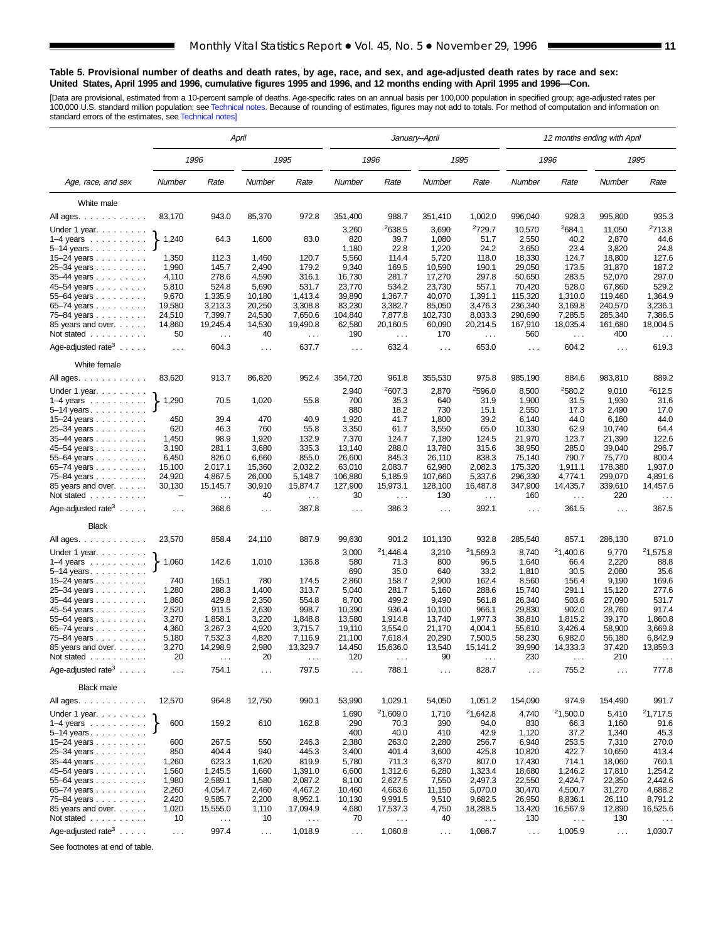#### **Table 5. Provisional number of deaths and death rates, by age, race, and sex, and age-adjusted death rates by race and sex: United States, April 1995 and 1996, cumulative figures 1995 and 1996, and 12 months ending with April 1995 and 1996—Con.**

[Data are provisional, estimated from a 10-percent sample of deaths. Age-specific rates on an annual basis per 100,000 population in specified group; age-adjusted rates per<br>100,000 U.S. standard million population; see Tec

|                                                         | April         |                           |               |                           |                      |                           | January-April        |                      | 12 months ending with April |                                  |                |                                  |  |
|---------------------------------------------------------|---------------|---------------------------|---------------|---------------------------|----------------------|---------------------------|----------------------|----------------------|-----------------------------|----------------------------------|----------------|----------------------------------|--|
|                                                         |               | 1996                      |               | 1995                      |                      | 1996                      |                      | 1995                 |                             | 1996                             |                | 1995                             |  |
| Age, race, and sex                                      | Number        | Rate                      | Number        | Rate                      | Number               | Rate                      | Number               | Rate                 | Number                      | Rate                             | Number         | Rate                             |  |
| White male                                              |               |                           |               |                           |                      |                           |                      |                      |                             |                                  |                |                                  |  |
| All ages.                                               | 83,170        | 943.0                     | 85,370        | 972.8                     | 351,400              | 988.7                     | 351,410              | 1,002.0              | 996,040                     | 928.3                            | 995,800        | 935.3                            |  |
|                                                         |               |                           |               |                           | 3,260                | 2638.5                    | 3,690                | <sup>2</sup> 729.7   | 10,570                      | <sup>2</sup> 684.1               | 11,050         | 2713.8                           |  |
| Under 1 year.<br>$1-4$ years $\ldots$ $\ldots$ $\ldots$ | 1,240         | 64.3                      | 1,600         | 83.0                      | 820                  | 39.7                      | 1,080                | 51.7                 | 2,550                       | 40.2                             | 2,870          | 44.6                             |  |
| 5–14 years                                              |               |                           |               |                           | 1,180                | 22.8                      | 1,220                | 24.2                 | 3,650                       | 23.4                             | 3,820          | 24.8                             |  |
| 15-24 years                                             | 1,350         | 112.3                     | 1,460         | 120.7                     | 5,560                | 114.4                     | 5,720                | 118.0                | 18,330                      | 124.7                            | 18,800         | 127.6                            |  |
| 25-34 years                                             | 1,990         | 145.7                     | 2,490         | 179.2                     | 9,340                | 169.5                     | 10,590               | 190.1                | 29,050                      | 173.5                            | 31,870         | 187.2                            |  |
| 35-44 years                                             | 4,110         | 278.6                     | 4,590         | 316.1                     | 16,730               | 281.7                     | 17,270               | 297.8                | 50,650                      | 283.5                            | 52,070         | 297.0                            |  |
| 45–54 years                                             | 5,810         | 524.8                     | 5,690         | 531.7                     | 23,770               | 534.2                     | 23,730               | 557.1                | 70,420                      | 528.0                            | 67,860         | 529.2                            |  |
| 55–64 years                                             | 9,670         | 1,335.9                   | 10,180        | 1,413.4                   | 39,890               | 1,367.7                   | 40,070               | 1,391.1              | 115,320                     | 1,310.0                          | 119,460        | 1,364.9                          |  |
| 65–74 years                                             | 19,580        | 3,213.3                   | 20,250        | 3,308.8                   | 83,230               | 3,382.7                   | 85,050               | 3,476.3              | 236,340                     | 3,169.8                          | 240,570        | 3,236.1                          |  |
| 75-84 years                                             | 24,510        | 7,399.7                   | 24,530        | 7,650.6                   | 104,840              | 7,877.8                   | 102,730              | 8,033.3              | 290,690                     | 7,285.5                          | 285,340        | 7,386.5                          |  |
| 85 years and over.                                      | 14,860        | 19,245.4                  | 14,530        | 19,490.8                  | 62,580               | 20,160.5                  | 60,090               | 20,214.5             | 167,910                     | 18,035.4                         | 161,680        | 18,004.5                         |  |
| Not stated                                              | 50            | $\sim$ $\sim$             | 40            | $\sim$ $\sim$             | 190                  | $\ldots$                  | 170                  | $\sim$ .             | 560                         | $\sim$ $\sim$                    | 400            | $\sim$ $\sim$                    |  |
| Age-adjusted rate <sup>3</sup> $\ldots$ .               | $\sim$ .      | 604.3                     | $\cdots$      | 637.7                     | $\sim$ $\sim$        | 632.4                     | $\ldots$             | 653.0                | $\sim$ $\sim$               | 604.2                            | $\sim$ $\sim$  | 619.3                            |  |
| White female                                            |               |                           |               |                           |                      |                           |                      |                      |                             |                                  |                |                                  |  |
| All ages.                                               | 83,620        | 913.7                     | 86,820        | 952.4                     | 354,720              | 961.8                     | 355,530              | 975.8                | 985,190                     | 884.6                            | 983,810        | 889.2                            |  |
| Under 1 year. $\ldots$                                  |               |                           |               |                           | 2,940                | 2607.3                    | 2,870                | 2596.0               | 8,500                       | 2580.2                           | 9,010          | <sup>2</sup> 612.5               |  |
| $1-4$ years                                             | 1,290         | 70.5                      | 1,020         | 55.8                      | 700                  | 35.3                      | 640                  | 31.9                 | 1,900                       | 31.5                             | 1,930          | 31.6                             |  |
| $5-14$ years<br>15–24 years $\ldots$                    | 450           | 39.4                      | 470           | 40.9                      | 880<br>1,920         | 18.2<br>41.7              | 730<br>1,800         | 15.1<br>39.2         | 2,550<br>6,140              | 17.3<br>44.0                     | 2,490<br>6,160 | 17.0<br>44.0                     |  |
| 25-34 years                                             | 620           | 46.3                      | 760           | 55.8                      | 3,350                | 61.7                      | 3,550                | 65.0                 | 10,330                      | 62.9                             | 10,740         | 64.4                             |  |
| 35-44 years                                             | 1,450         | 98.9                      | 1,920         | 132.9                     | 7,370                | 124.7                     | 7,180                | 124.5                | 21,970                      | 123.7                            | 21,390         | 122.6                            |  |
| 45–54 years                                             | 3,190         | 281.1                     | 3,680         | 335.3                     | 13,140               | 288.0                     | 13,780               | 315.6                | 38,950                      | 285.0                            | 39,040         | 296.7                            |  |
| 55-64 years                                             | 6,450         | 826.0                     | 6,660         | 855.0                     | 26,600               | 845.3                     | 26,110               | 838.3                | 75,140                      | 790.7                            | 75,770         | 800.4                            |  |
| 65–74 years                                             | 15,100        | 2,017.1                   | 15,360        | 2,032.2                   | 63,010               | 2,083.7                   | 62,980               | 2,082.3              | 175,320                     | 1,911.1                          | 178,380        | 1,937.0                          |  |
| 75-84 years                                             | 24,920        | 4,867.5                   | 26,000        | 5,148.7                   | 106,880              | 5,185.9                   | 107,660              | 5,337.6              | 296,330                     | 4,774.1                          | 299,070        | 4,891.6                          |  |
| 85 years and over.<br>Not stated                        | 30,130        | 15,145.7<br>$\sim$ $\sim$ | 30,910<br>40  | 15,874.7<br>$\sim$ $\sim$ | 127,900<br>30        | 15,973.1<br>$\sim$ $\sim$ | 128,100<br>130       | 16,487.8<br>$\ldots$ | 347,900<br>160              | 14,435.7<br>$\sim$ $\sim$ $\sim$ | 339,610<br>220 | 14,457.6<br>$\sim$ $\sim$ $\sim$ |  |
| Age-adjusted rate <sup>3</sup>                          | $\cdots$      | 368.6                     | $\cdots$      | 387.8                     | $\cdots$             | 386.3                     | $\cdots$             | 392.1                | $\ddotsc$                   | 361.5                            | $\cdots$       | 367.5                            |  |
| <b>Black</b>                                            |               |                           |               |                           |                      |                           |                      |                      |                             |                                  |                |                                  |  |
| All ages.                                               | 23,570        | 858.4                     | 24,110        | 887.9                     | 99,630               | 901.2                     | 101,130              | 932.8                | 285,540                     | 857.1                            | 286,130        | 871.0                            |  |
| Under 1 year.                                           |               |                           |               |                           | 3,000                | 21,446.4                  | 3,210                | <sup>2</sup> 1,569.3 | 8,740                       | 21,400.6                         | 9,770          | 21,575.8                         |  |
| $1-4$ years $\ldots$ $\ldots$ $\ldots$ .                | 1,060         | 142.6                     | 1,010         | 136.8                     | 580                  | 71.3                      | 800                  | 96.5                 | 1,640                       | 66.4                             | 2,220          | 88.8                             |  |
| 5-14 years.<br>15-24 years                              | 740           | 165.1                     | 780           | 174.5                     | 690<br>2,860         | 35.0<br>158.7             | 640<br>2,900         | 33.2<br>162.4        | 1,810<br>8,560              | 30.5<br>156.4                    | 2,080<br>9,190 | 35.6<br>169.6                    |  |
| 25-34 years                                             | 1,280         | 288.3                     | 1,400         | 313.7                     | 5,040                | 281.7                     | 5,160                | 288.6                | 15,740                      | 291.1                            | 15,120         | 277.6                            |  |
| 35-44 years                                             | 1,860         | 429.8                     | 2,350         | 554.8                     | 8,700                | 499.2                     | 9,490                | 561.8                | 26,340                      | 503.6                            | 27,090         | 531.7                            |  |
| 45-54 years                                             | 2,520         | 911.5                     | 2,630         | 998.7                     | 10,390               | 936.4                     | 10,100               | 966.1                | 29,830                      | 902.0                            | 28.760         | 917.4                            |  |
| 55-64 years                                             | 3,270         | 1,858.1                   | 3,220         | 1,848.8                   | 13,580               | 1,914.8                   | 13,740               | 1,977.3              | 38,810                      | 1,815.2                          | 39,170         | 1,860.8                          |  |
| 65-74 years                                             | 4,360         | 3,267.3                   | 4,920         | 3,715.7                   | 19,110               | 3,554.0                   | 21,170               | 4,004.1              | 55,610                      | 3,426.4                          | 58,900         | 3,669.8                          |  |
| 75–84 years                                             | 5,180         | 7,532.3                   | 4,820         | 7,116.9                   | 21,100               | 7,618.4                   | 20,290               | 7,500.5              | 58,230                      | 6,982.0                          | 56,180         | 6,842.9                          |  |
| 85 years and over.                                      | 3,270         | 14,298.9                  | 2,980         | 13,329.7                  | 14,450               | 15,636.0                  | 13,540               | 15,141.2             | 39,990                      | 14,333.3                         | 37,420         | 13,859.3                         |  |
| Not stated.<br>decision and a series                    | 20            |                           | 20            |                           | 120                  |                           | 90                   |                      | 230                         |                                  | 210            |                                  |  |
| Age-adjusted rate <sup>3</sup> $\ldots$ .               | $\sim$ $\sim$ | 754.1                     | $\sim$        | 797.5                     | $\sim$ $\sim$ $\sim$ | 788.1                     | $\sim$ $\sim$ $\sim$ | 828.7                | $\sim$ $\sim$ $\sim$        | 755.2                            | $\sim$ $\sim$  | 777.8                            |  |
| <b>Black male</b>                                       | 12,570        | 964.8                     | 12,750        | 990.1                     | 53,990               | 1,029.1                   | 54,050               | 1,051.2              | 154,090                     | 974.9                            | 154,490        | 991.7                            |  |
| All ages.<br>Under 1 year.                              |               |                           |               |                           | 1,690                | 21,609.0                  | 1,710                | 21,642.8             | 4,740                       | 21,500.0                         | 5,410          | 21,717.5                         |  |
| $1-4$ years<br>$5-14$ years.                            | 600           | 159.2                     | 610           | 162.8                     | 290<br>400           | 70.3<br>40.0              | 390<br>410           | 94.0<br>42.9         | 830<br>1,120                | 66.3<br>37.2                     | 1,160<br>1,340 | 91.6<br>45.3                     |  |
| 15–24 years                                             | 600           | 267.5                     | 550           | 246.3                     | 2,380                | 263.0                     | 2,280                | 256.7                | 6,940                       | 253.5                            | 7,310          | 270.0                            |  |
| 25-34 years                                             | 850           | 404.4                     | 940           | 445.3                     | 3,400                | 401.4                     | 3,600                | 425.8                | 10,820                      | 422.7                            | 10,650         | 413.4                            |  |
| 35-44 years                                             | 1,260         | 623.3                     | 1,620         | 819.9                     | 5,780                | 711.3                     | 6,370                | 807.0                | 17,430                      | 714.1                            | 18,060         | 760.1                            |  |
| 45-54 years                                             | 1,560         | 1,245.5                   | 1,660         | 1,391.0                   | 6,600                | 1,312.6                   | 6,280                | 1,323.4              | 18,680                      | 1,246.2                          | 17,810         | 1,254.2                          |  |
| 55-64 years                                             | 1,980         | 2,589.1                   | 1,580         | 2,087.2                   | 8,100                | 2,627.5                   | 7,550                | 2,497.3              | 22,550                      | 2,424.7                          | 22,350         | 2,442.6                          |  |
| 65-74 years                                             | 2,260         | 4,054.7                   | 2,460         | 4,467.2                   | 10,460               | 4,663.6                   | 11,150               | 5,070.0              | 30,470                      | 4,500.7                          | 31,270         | 4,688.2                          |  |
| 75-84 years                                             | 2,420         | 9,585.7                   | 2,200         | 8,952.1                   | 10,130               | 9,991.5                   | 9,510                | 9,682.5              | 26,950                      | 8,836.1                          | 26,110         | 8,791.2                          |  |
| 85 years and over.                                      | 1,020         | 15,555.0                  | 1,110         | 17,094.9                  | 4,680                | 17,537.3                  | 4,750                | 18,288.5             | 13,420                      | 16,567.9                         | 12,890         | 16,525.6                         |  |
| Not stated                                              | 10            | $\sim$ $\sim$             | 10            | $\sim$ $\sim$             | 70                   | $\sim$ $\sim$             | 40                   | $\sim$ $\sim$        | 130                         | $\sim$ $\sim$                    | 130            | $\sim$ $\sim$ $\sim$             |  |
| Age-adjusted rate <sup>3</sup>                          | $\sim$ $\sim$ | 997.4                     | $\sim$ $\sim$ | 1,018.9                   | $\sim$ $\sim$        | 1,060.8                   | $\sim$ .             | 1,086.7              | $\sim$ $\sim$               | 1,005.9                          | $\sim$ $\sim$  | 1,030.7                          |  |

See footnotes at end of table.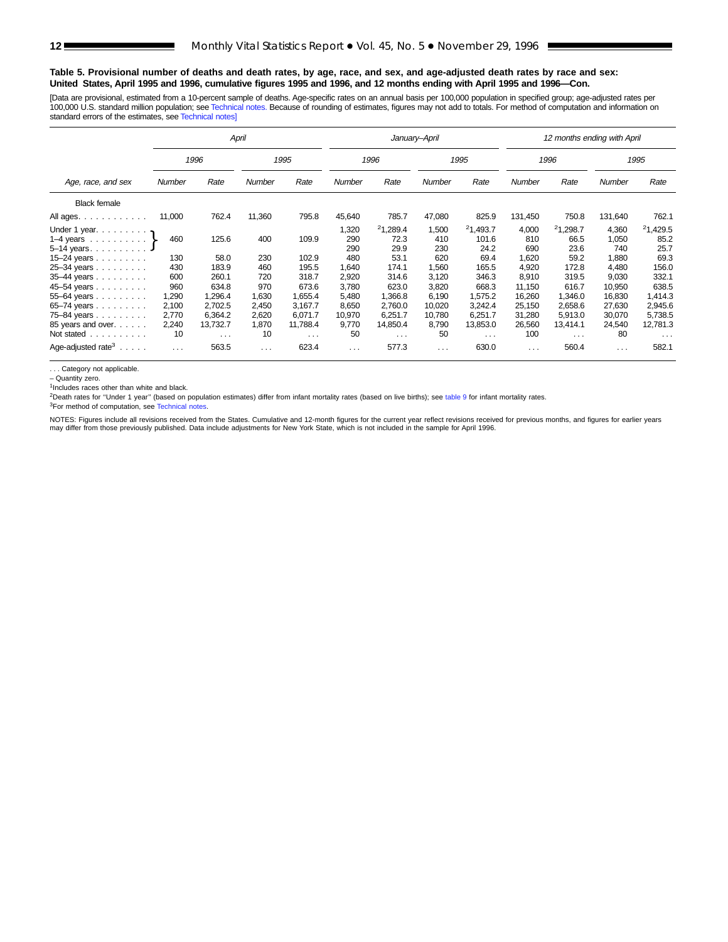#### **Table 5. Provisional number of deaths and death rates, by age, race, and sex, and age-adjusted death rates by race and sex: United States, April 1995 and 1996, cumulative figures 1995 and 1996, and 12 months ending with April 1995 and 1996—Con.**

[Data are provisional, estimated from a 10-percent sample of deaths. Age-specific rates on an annual basis per 100,000 population in specified group; age-adjusted rates per 100,000 U.S. standard million population; see [Technical notes](#page-16-0). Because of rounding of estimates, figures may not add to totals. For method of computation and information on standard errors of the estimates, see [Technical notes\]](#page-16-0)

|                                                                                                     |                                         |                                           | April                   |                                           |                            |                                           | January-April              |                                           |                              | 12 months ending with April      |                                |                                           |
|-----------------------------------------------------------------------------------------------------|-----------------------------------------|-------------------------------------------|-------------------------|-------------------------------------------|----------------------------|-------------------------------------------|----------------------------|-------------------------------------------|------------------------------|----------------------------------|--------------------------------|-------------------------------------------|
|                                                                                                     |                                         | 1996                                      |                         | 1995                                      |                            | 1996                                      |                            | 1995                                      |                              | 1996                             |                                | 1995                                      |
| Age, race, and sex                                                                                  | Rate<br>Rate<br>Number<br><b>Number</b> |                                           | <b>Number</b>           | Rate                                      | Number                     | Rate                                      | Number                     | Rate                                      | Number                       | Rate                             |                                |                                           |
| <b>Black female</b>                                                                                 |                                         |                                           |                         |                                           |                            |                                           |                            |                                           |                              |                                  |                                |                                           |
| All ages.                                                                                           | 11,000                                  | 762.4                                     | 11,360                  | 795.8                                     | 45,640                     | 785.7                                     | 47,080                     | 825.9                                     | 131,450                      | 750.8                            | 131,640                        | 762.1                                     |
| Under 1 year. $\ldots$<br>1–4 years $\ldots \ldots \ldots$<br>$5-14$ years.<br>15–24 years $\ldots$ | 460<br>130                              | 125.6<br>58.0                             | 400<br>230              | 109.9<br>102.9                            | 1,320<br>290<br>290<br>480 | 21,289.4<br>72.3<br>29.9<br>53.1          | 1,500<br>410<br>230<br>620 | 21,493.7<br>101.6<br>24.2<br>69.4         | 4,000<br>810<br>690<br>1,620 | 21,298.7<br>66.5<br>23.6<br>59.2 | 4,360<br>1,050<br>740<br>1,880 | 21,429.5<br>85.2<br>25.7<br>69.3          |
| 25-34 years<br>35-44 years<br>45-54 years                                                           | 430<br>600<br>960                       | 183.9<br>260.1<br>634.8                   | 460<br>720<br>970       | 195.5<br>318.7<br>673.6                   | 1.640<br>2,920<br>3,780    | 174.1<br>314.6<br>623.0                   | .560<br>3,120<br>3,820     | 165.5<br>346.3<br>668.3                   | 4.920<br>8,910<br>11,150     | 172.8<br>319.5<br>616.7          | 4.480<br>9,030<br>10,950       | 156.0<br>332.1<br>638.5                   |
| 55-64 years<br>65-74 years<br>75-84 years                                                           | 1,290<br>2,100<br>2,770                 | 1.296.4<br>2,702.5<br>6.364.2             | 1,630<br>2,450<br>2,620 | 1,655.4<br>3,167.7<br>6.071.7             | 5,480<br>8,650<br>10.970   | 1,366.8<br>2,760.0<br>6.251.7             | 6.190<br>10,020<br>10.780  | 1.575.2<br>3.242.4<br>6.251.7             | 16,260<br>25,150<br>31,280   | 1.346.0<br>2,658.6<br>5.913.0    | 16,830<br>27,630<br>30,070     | 1,414.3<br>2,945.6<br>5,738.5             |
| 85 years and over.<br>Not stated<br>Age-adjusted rate <sup>3</sup> $\ldots$ .                       | 2,240<br>10<br>$\cdots$                 | 13,732.7<br>$\sim$ $\sim$ $\sim$<br>563.5 | 1,870<br>10<br>$\cdots$ | 11,788.4<br>$\sim$ $\sim$ $\sim$<br>623.4 | 9,770<br>50<br>.           | 14,850.4<br>$\sim$ $\sim$ $\sim$<br>577.3 | 8,790<br>50<br>$\cdots$    | 13,853.0<br>$\sim$ $\sim$ $\sim$<br>630.0 | 26,560<br>100<br>$\cdots$    | 13,414.1<br>$\cdots$<br>560.4    | 24,540<br>80<br>$\cdots$       | 12,781.3<br>$\sim$ $\sim$ $\sim$<br>582.1 |

. . . Category not applicable.

– Quantity zero.

<sup>1</sup>Includes races other than white and black.

<sup>2</sup>Death rates for "Under 1 year" (based on population estimates) differ from infant mortality rates (based on live births); see [table 9](#page-15-0) for infant mortality rates.

<sup>3</sup>For method of computation, see [Technical notes](#page-16-0).

NOTES: Figures include all revisions received from the States. Cumulative and 12-month figures for the current year reflect revisions received for previous months, and figures for earlier years<br>may differ from those previo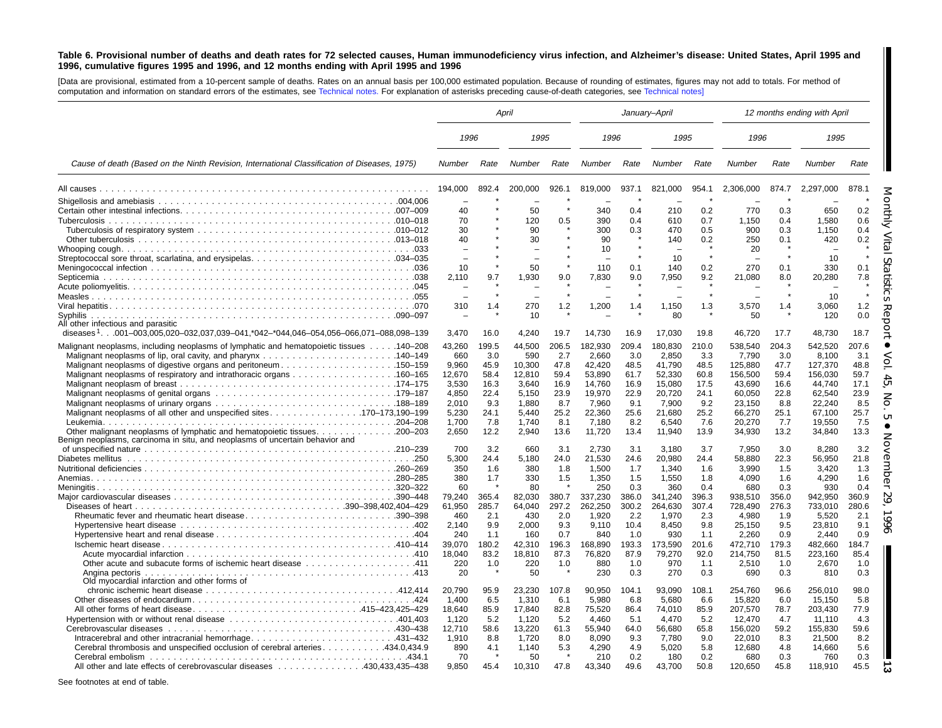#### <span id="page-12-0"></span>Table 6. Provisional number of deaths and death rates for 72 selected causes, Human immunodeficiency virus infection, and Alzheimer's disease: United States, April 1995 and 1996, cumulative figures 1995 and 1996, and 12 months ending with April 1995 and 1996

[Data are provisional, estimated from <sup>a</sup> 10-percent sample of deaths. Rates on an annual basis per 100,000 estimated population. Because of rounding of estimates, figures may not add to totals. For method of computation and information on standard errors of the estimates, see [Technical](#page-16-0) notes. For explanation of asterisks preceding cause-of-death categories, see [Technical](#page-16-0) notes]

|                                                                                                  | April                    |       |                          | January-April |                 |         |                          |         |               | 12 months ending with April |               |           |
|--------------------------------------------------------------------------------------------------|--------------------------|-------|--------------------------|---------------|-----------------|---------|--------------------------|---------|---------------|-----------------------------|---------------|-----------|
|                                                                                                  | 1996                     |       | 1995                     |               | 1996            |         | 1995                     |         | 1996          |                             | 1995          |           |
| Cause of death (Based on the Ninth Revision, International Classification of Diseases, 1975)     | <b>Number</b>            | Rate  | Number                   | Rate          | Number          | Rate    | Number                   | Rate    | <b>Number</b> | Rate                        | <b>Number</b> | Rate      |
|                                                                                                  | 194,000                  | 892.4 | 200,000                  | 926.1         | 819,000         | 937.1   | 821,000                  | 954.1   | 2,306,000     | 874.7                       | 2,297,000     | 878.1     |
|                                                                                                  |                          |       |                          |               |                 |         |                          |         |               |                             |               |           |
|                                                                                                  | 40                       |       | 50                       |               | 340             | 0.4     | 210                      | 0.2     | 770           | 0.3                         | 650           | 0.2       |
|                                                                                                  | 70                       |       | 120                      | 0.5           | 390             | 0.4     | 610                      | 0.7     | 1,150         | 0.4                         | 1,580         | 0.6       |
|                                                                                                  | 30                       |       | 90                       |               | 300             | 0.3     | 470                      | 0.5     | 900           | 0.3                         | 1,150         | 0.4       |
|                                                                                                  | 40                       |       | 30                       |               | 90              |         | 140                      | 0.2     | 250           | 0.1                         | 420           | 0.2       |
|                                                                                                  | $\overline{\phantom{0}}$ |       | $\overline{\phantom{0}}$ |               | 10              |         |                          |         | 20            |                             |               |           |
|                                                                                                  | $\overline{\phantom{0}}$ |       | $\overline{\phantom{0}}$ |               |                 |         | 10                       | $\star$ | $\sim$        |                             | 10            |           |
|                                                                                                  | 10                       |       | 50                       |               | 110             | 0.1     | 140                      | 0.2     | 270           | 0.1                         | 330           | 0.1       |
|                                                                                                  | 2.110                    | 9.7   | 1,930                    | 9.0           | 7,830           | 9.0     | 7,950                    | 9.2     | 21,080        | 8.0                         | 20,280        | 7.8       |
|                                                                                                  |                          |       | $\overline{\phantom{0}}$ |               |                 | $\star$ | $\overline{\phantom{a}}$ | $\star$ |               | $\bullet$                   | 10            | $\bullet$ |
|                                                                                                  | 310                      | 1.4   | 270                      | 1.2           |                 | 1.4     | 1,150                    | 1.3     | 3,570         | 1.4                         | 3,060         | 1.2       |
| Syphilis.                                                                                        |                          |       | 10                       |               | 1,200           |         | 80                       |         | 50            |                             | 120           | O<br>0.0  |
| All other infectious and parasitic                                                               |                          |       |                          |               |                 |         |                          |         |               |                             |               |           |
| diseases <sup>1</sup> .001-003,005,020-032,037,039-041,*042-*044,046-054,056-066,071-088,098-139 | 3,470                    | 16.0  | 4,240                    | 19.7          | 14,730          | 16.9    | 17,030                   | 19.8    | 46,720        | 17.7                        | 48,730        | 18.7      |
| Malignant neoplasms, including neoplasms of lymphatic and hematopoietic tissues 140–208          | 43,260                   | 199.5 | 44,500                   | 206.5         | 182,930         | 209.4   | 180.830                  | 210.0   | 538.540       | 204.3                       | 542,520       | 207.6     |
|                                                                                                  | 660                      | 3.0   | 590                      | 2.7           | 2,660           | 3.0     | 2,850                    | 3.3     | 7,790         | 3.0                         | 8,100         | 3.1       |
| Malignant neoplasms of digestive organs and peritoneum150–159                                    | 9.960                    | 45.9  | 10,300                   | 47.8          | 42,420          | 48.5    | 41.790                   | 48.5    | 125,880       | 47.7                        | 127,370       | 48.8      |
|                                                                                                  | 12,670                   | 58.4  | 12,810                   | 59.4          | 53,890          | 61.7    | 52,330                   | 60.8    | 156,500       | 59.4                        | 156,030       | 59.7      |
|                                                                                                  | 3,530                    | 16.3  | 3,640                    | 16.9          | 14,760          | 16.9    | 15,080                   | 17.5    | 43,690        | 16.6                        | 44,740        | 17.1      |
|                                                                                                  | 4,850                    | 22.4  | 5,150                    | 23.9          | 19,970          | 22.9    | 20,720                   | 24.1    | 60,050        | 22.8                        | 62,540        | 23.9      |
|                                                                                                  | 2.010                    | 9.3   | 1.880                    | 8.7           | 7,960           | 9.1     | 7.900                    | 9.2     | 23.150        | 8.8                         | 22.240        | 8.5       |
|                                                                                                  | 5,230                    | 24.1  | 5.440                    | 25.2          | 22,360          | 25.6    | 21.680                   | 25.2    | 66,270        | 25.1                        | 67.100        | 25.7      |
|                                                                                                  | 1,700                    | 7.8   | 1,740                    | 8.1           | 7,180           | 8.2     | 6,540                    | 7.6     | 20,270        | 7.7                         | 19,550        | 7.5       |
|                                                                                                  | 2.650                    | 12.2  | 2,940                    | 13.6          | 11,720          | 13.4    | 11,940                   | 13.9    | 34,930        | 13.2                        | 34,840        | 13.3      |
| Benign neoplasms, carcinoma in situ, and neoplasms of uncertain behavior and                     |                          |       |                          |               |                 |         |                          |         |               |                             |               |           |
|                                                                                                  | 700                      | 3.2   | 660                      | 3.1           | 2,730           | 3.1     | 3,180                    | 3.7     | 7,950         | 3.0                         | 8,280         | 3.2       |
|                                                                                                  | 5,300                    | 24.4  | 5,180                    | 24.0          | 21,530          | 24.6    | 20.980                   | 24.4    | 58,880        | 22.3                        | 56,950        | 21.8      |
|                                                                                                  | 350                      | 1.6   | 380                      | 1.8           | 1,500           | 1.7     | 1,340                    | 1.6     | 3,990         | 1.5                         | 3,420         | 1.3       |
|                                                                                                  | 380                      | 1.7   | 330                      | 1.5           | 1,350           | 1.5     | 1,550                    | 1.8     | 4,090         | 1.6                         | 4,290         | 1.6       |
|                                                                                                  | 60                       |       | 80                       |               | 250             | 0.3     | 360                      | 0.4     | 680           | 0.3                         | 930           | 0.4       |
|                                                                                                  | 79,240                   | 365.4 | 82,030                   | 380.7         | 337,230         | 386.0   | 341,240                  | 396.3   | 938,510       | 356.0                       | 942,950       | 360.9     |
|                                                                                                  | 61,950                   | 285.7 | 64,040                   | 297.2         | 262,250         | 300.2   | 264,630                  | 307.4   | 728,490       | 276.3                       | 733,010       | 280.6     |
| Rheumatic fever and rheumatic heart disease390-398                                               | 460                      | 2.1   | 430                      | 2.0           | 1,920           | 2.2     | 1,970                    | 2.3     | 4,980         | 1.9                         | 5,520         | 2.1       |
|                                                                                                  | 2.140                    | 9.9   | 2.000                    | 9.3           | 9,110           | 10.4    | 8.450                    | 9.8     | 25,150        | 9.5                         | 23,810        | 9.1       |
|                                                                                                  | 240                      | 1.1   | 160                      | 0.7           | 840             | 1.0     | 930                      | 1.1     | 2,260         | 0.9                         | 2,440         | 0.9       |
|                                                                                                  | 39.070                   | 180.2 | 42.310                   | 196.3         | 168.890         | 193.3   | 173.590                  | 201.6   | 472.710       | 179.3                       | 482.660       | 184.7     |
|                                                                                                  | 18,040                   | 83.2  | 18,810                   | 87.3          | 76,820          | 87.9    | 79,270                   | 92.0    | 214,750       | 81.5                        | 223,160       | 85.4      |
|                                                                                                  | 220                      | 1.0   | 220                      | 1.0           | 880             | 1.0     | 970                      | 1.1     | 2.510         | 1.0                         | 2.670         | 1.0       |
|                                                                                                  | 20                       |       | 50                       |               | 230             | 0.3     | 270                      | 0.3     | 690           | 0.3                         | 810           | 0.3       |
| Old myocardial infarction and other forms of                                                     | 20.790                   | 95.9  | 23,230                   | 107.8         | 90,950          | 104.1   | 93,090                   | 108.1   | 254,760       | 96.6                        | 256,010       | 98.0      |
|                                                                                                  | 1,400                    | 6.5   | 1,310                    | 6.1           |                 | 6.8     | 5,680                    | 6.6     | 15,820        | 6.0                         | 15,150        | 5.8       |
| All other forms of heart disease415–423,425–429                                                  | 18.640                   | 85.9  | 17,840                   | 82.8          | 5,980<br>75,520 | 86.4    | 74.010                   | 85.9    | 207,570       | 78.7                        | 203,430       | 77.9      |
|                                                                                                  | 1.120                    | 5.2   | 1,120                    | 5.2           | 4.460           | 5.1     | 4.470                    | 5.2     | 12.470        | 4.7                         | 11.110        | 4.3       |
|                                                                                                  | 12,710                   | 58.6  | 13,220                   | 61.3          | 55,940          | 64.0    | 56,680                   | 65.8    | 156,020       | 59.2                        | 155,830       | 59.6      |
|                                                                                                  | 1,910                    | 8.8   | 1,720                    | 8.0           | 8.090           | 9.3     | 7,780                    | 9.0     | 22.010        | 8.3                         | 21,500        | 8.2       |
| Cerebral thrombosis and unspecified occlusion of cerebral arteries. 434.0,434.9                  | 890                      | 4.1   | 1,140                    | 5.3           | 4,290           | 4.9     | 5.020                    | 5.8     | 12,680        | 4.8                         | 14,660        | 5.6       |
|                                                                                                  | 70                       |       | 50                       |               | 210             | 0.2     | 180                      | 0.2     | 680           | 0.3                         | 760           | 0.3       |
|                                                                                                  |                          |       |                          |               |                 |         |                          |         |               |                             |               |           |
| All other and late effects of cerebrovascular diseases 430,433,435–438                           | 9,850                    | 45.4  | 10,310                   | 47.8          | 43,340          | 49.6    | 43,700                   | 50.8    | 120,650       | 45.8                        | 118,910       | 45.5      |

See footnotes at end of table.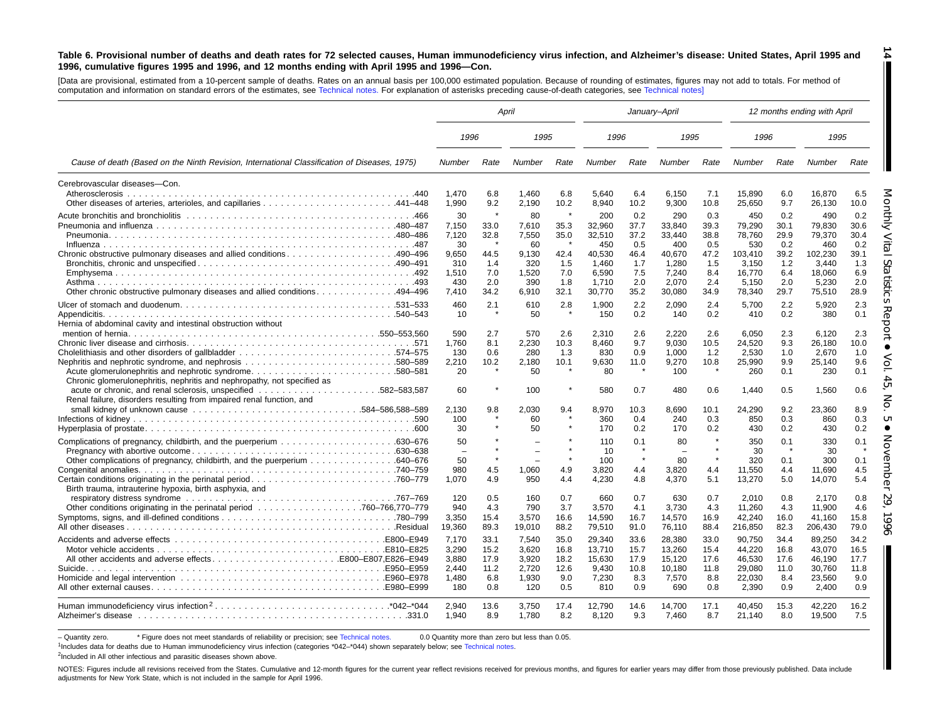#### Table 6. Provisional number of deaths and death rates for 72 selected causes, Human immunodeficiency virus infection, and Alzheimer's disease: United States, April 1995 and 1996, cumulative figures 1995 and 1996, and 12 months ending with April 1995 and 1996-Con.

**14**

H

[Data are provisional, estimated from <sup>a</sup> 10-percent sample of deaths. Rates on an annual basis per 100,000 estimated population. Because of rounding of estimates, figures may not add to totals. For method of computation and information on standard errors of the estimates, see [Technical](#page-16-0) notes. For explanation of asterisks preceding cause-of-death categories, see [Technical](#page-16-0) notes]

|                                                                                              | April                   |                      |                                          |                       |                           | January-April          |                            |                      |                            |                      | 12 months ending with April |                      |
|----------------------------------------------------------------------------------------------|-------------------------|----------------------|------------------------------------------|-----------------------|---------------------------|------------------------|----------------------------|----------------------|----------------------------|----------------------|-----------------------------|----------------------|
|                                                                                              | 1996                    |                      | 1995                                     |                       | 1996                      |                        | 1995                       |                      | 1996                       |                      | 1995                        |                      |
| Cause of death (Based on the Ninth Revision, International Classification of Diseases, 1975) | Number                  | Rate                 | Number                                   | Rate                  | Number                    | Rate                   | Number                     | Rate                 | Number                     | Rate                 | Number                      | Rate                 |
| Cerebrovascular diseases-Con.                                                                |                         |                      |                                          |                       |                           |                        |                            |                      |                            |                      |                             |                      |
| Atherosclerosis                                                                              | 1.470<br>1,990          | 6.8<br>9.2           | 1.460<br>2,190                           | 6.8<br>10.2           | 5.640<br>8,940            | 6.4<br>10.2            | 6.150<br>9,300             | 7.1<br>10.8          | 15.890<br>25,650           | 6.0<br>9.7           | 16.870<br>26,130            | 6.5<br>10.0          |
|                                                                                              | 30<br>7,150             | $\star$<br>33.0      | 80<br>7,610                              | $\star$<br>35.3       | 200<br>32,960             | 0.2<br>37.7<br>37.2    | 290<br>33,840              | 0.3<br>39.3          | 450<br>79,290              | 0.2<br>30.1<br>29.9  | 490<br>79,830               | 0.2<br>30.6<br>30.4  |
|                                                                                              | 7,120<br>30<br>9.650    | 32.8<br>44.5         | 7,550<br>60<br>9.130                     | 35.0<br>42.4          | 32,510<br>450<br>40,530   | 0.5<br>46.4            | 33,440<br>400<br>40.670    | 38.8<br>0.5<br>47.2  | 78,760<br>530<br>103,410   | 0.2<br>39.2          | 79,370<br>460<br>102.230    | 0.2<br>39.1          |
|                                                                                              | 310<br>1,510            | 1.4<br>7.0           | 320<br>1,520                             | 1.5<br>7.0            | 1.460<br>6,590            | 1.7<br>7.5             | 1.280<br>7,240             | 1.5<br>8.4           | 3.150<br>16,770            | 1.2<br>6.4           | 3.440<br>18,060             | 1.3<br>6.9           |
| 0ther chronic obstructive pulmonary diseases and allied conditions. 494–496                  | 430<br>7,410            | 2.0<br>34.2          | 390<br>6,910                             | 1.8<br>32.1           | 1.710<br>30,770           | 2.0<br>35.2            | 2,070<br>30,080            | 2.4<br>34.9          | 5,150<br>78,340            | 2.0<br>29.7          | 5,230<br>75,510             | 2.0<br>28.9          |
|                                                                                              | 460<br>10               | 2.1                  | 610<br>50                                | 2.8                   | 1,900<br>150              | 2.2<br>0.2             | 2,090<br>140               | 2.4<br>0.2           | 5,700<br>410               | 2.2<br>0.2           | 5,920<br>380                | 2.3<br>0.1           |
| Hernia of abdominal cavity and intestinal obstruction without                                | 590<br>1,760            | 2.7<br>8.1           | 570<br>2,230                             | 2.6<br>10.3           | 2.310<br>8,460            | 2.6<br>9.7             | 2.220<br>9.030             | 2.6<br>10.5          | 6.050<br>24,520            | 2.3<br>9.3           | 6.120<br>26,180             | 2.3<br>10.0          |
| Chronic glomerulonephritis, nephritis and nephropathy, not specified as                      | 130<br>2.210<br>20      | 0.6<br>10.2          | 280<br>2,180<br>50                       | 1.3<br>10.1           | 830<br>9,630<br>80        | 0.9<br>11.0<br>$\star$ | 1,000<br>9,270<br>100      | 1.2<br>10.8          | 2,530<br>25.990<br>260     | 1.0<br>9.9<br>0.1    | 2,670<br>25.140<br>230      | 1.0<br>9.6<br>0.1    |
| Renal failure, disorders resulting from impaired renal function, and                         | 60                      |                      | 100                                      | $\star$               | 580                       | 0.7                    | 480                        | 0.6                  | 1,440                      | 0.5                  | 1,560                       | 0.6                  |
|                                                                                              | 2.130<br>100<br>30      | 9.8                  | 2,030<br>60<br>50                        | 9.4                   | 8,970<br>360<br>170       | 10.3<br>0.4<br>0.2     | 8.690<br>240<br>170        | 10.1<br>0.3<br>0.2   | 24,290<br>850<br>430       | 9.2<br>0.3<br>0.2    | 23,360<br>860<br>430        | 8.9<br>0.3<br>0.2    |
|                                                                                              | 50                      |                      | $\equiv$                                 | $\star$<br>$\star$    | 110<br>10                 | 0.1                    | 80                         |                      | 350<br>30                  | 0.1                  | 330<br>30                   | 0.1                  |
| Birth trauma, intrauterine hypoxia, birth asphyxia, and                                      | 50<br>980<br>1.070      | 4.5<br>4.9           | $\overline{\phantom{0}}$<br>1.060<br>950 | $\star$<br>4.9<br>4.4 | 100<br>3.820<br>4,230     | $\star$<br>4.4<br>4.8  | 80<br>3.820<br>4,370       | 4.4<br>5.1           | 320<br>11.550<br>13,270    | 0.1<br>4.4<br>5.0    | 300<br>11.690<br>14,070     | 0.1<br>4.5<br>5.4    |
|                                                                                              | 120<br>940<br>3,350     | 0.5<br>4.3<br>15.4   | 160<br>790<br>3,570                      | 0.7<br>3.7<br>16.6    | 660<br>3,570<br>14,590    | 0.7<br>4.1<br>16.7     | 630<br>3,730<br>14,570     | 0.7<br>4.3<br>16.9   | 2.010<br>11,260<br>42,240  | 0.8<br>4.3<br>16.0   | 2.170<br>11.900<br>41.160   | 0.8<br>4.6<br>15.8   |
|                                                                                              | 19,360<br>7.170         | 89.3<br>33.1         | 19,010<br>7.540                          | 88.2<br>35.0          | 79,510<br>29.340          | 91.0<br>33.6           | 76,110<br>28.380           | 88.4<br>33.0         | 216,850<br>90.750          | 82.3<br>34.4         | 206,430<br>89.250           | 79.0<br>34.2         |
| All other accidents and adverse effectsB800-E807.E826-E949                                   | 3,290<br>3.880<br>2.440 | 15.2<br>17.9<br>11.2 | 3,620<br>3.920<br>2,720                  | 16.8<br>18.2<br>12.6  | 13,710<br>15.630<br>9,430 | 15.7<br>17.9<br>10.8   | 13,260<br>15,120<br>10,180 | 15.4<br>17.6<br>11.8 | 44,220<br>46.530<br>29,080 | 16.8<br>17.6<br>11.0 | 43,070<br>46.190<br>30,760  | 16.5<br>17.7<br>11.8 |
|                                                                                              | 1,480<br>180            | 6.8<br>0.8           | 1,930<br>120                             | 9.0<br>0.5            | 7,230<br>810              | 8.3<br>0.9             | 7,570<br>690               | 8.8<br>0.8           | 22,030<br>2,390            | 8.4<br>0.9           | 23,560<br>2.400             | 9.0<br>0.9           |
|                                                                                              | 2.940<br>1.940          | 13.6<br>8.9          | 3.750<br>1,780                           | 17.4<br>8.2           | 12.790<br>8,120           | 14.6<br>9.3            | 14.700<br>7,460            | 17.1<br>8.7          | 40.450<br>21,140           | 15.3<br>8.0          | 42.220<br>19,500            | 16.2<br>7.5          |

- Quantity zero. \* Figure does not meet standards of reliability or precision; see [Technical](#page-16-0) notes. 0.0 Quantity more than zero but less than 0.05.

1Includes data for deaths due to Human immunodeficiency virus infection (categories \*042–\*044) shown separately below; see [Technical](#page-16-0) notes.

<sup>2</sup>Included in All other infectious and parasitic diseases shown above.

NOTES: Figures include all revisions received from the States. Cumulative and 12-month figures for the current year reflect revisions received for previous months, and figures for earlier years may differ from those previo adjustments for New York State, which is not included in the sample for April 1996.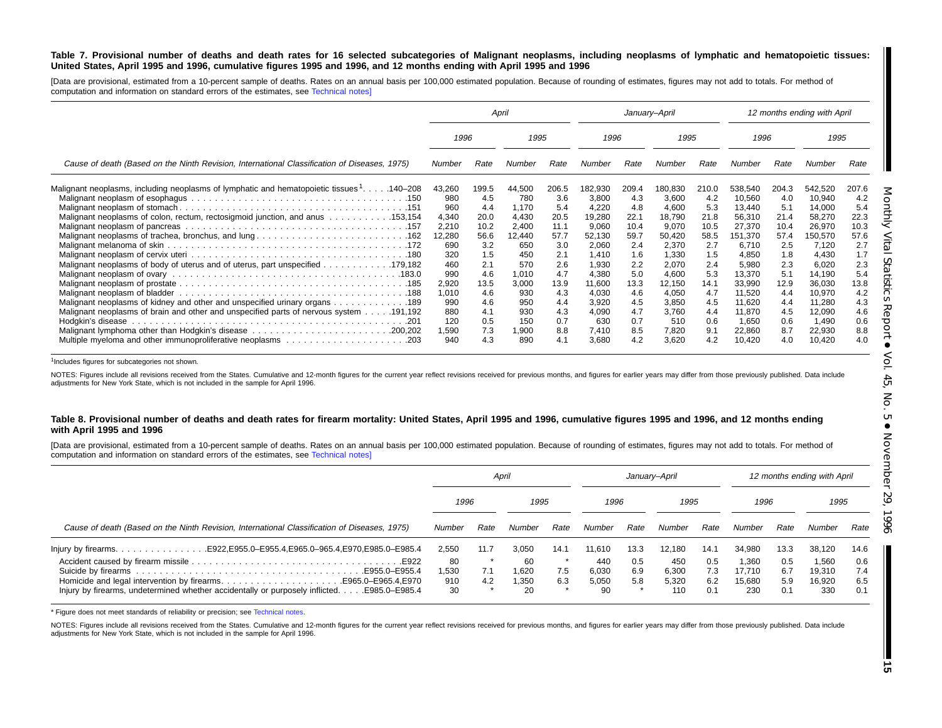#### Table 7. Provisional number of deaths and death rates for 16 selected subcategories of Malignant neoplasms, including neoplasms of lymphatic and hematopoietic tissues: United States, April 1995 and 1996, cumulative figures 1995 and 1996, and 12 months ending with April 1995 and 1996

[Data are provisional, estimated from a 10-percent sample of deaths. Rates on an annual basis per 100,000 estimated population. Because of rounding of estimates, figures may not add to totals. For method of computation and information on standard errors of the estimates, see [Technical](#page-16-0) notes]

|                                                                                                                                                                                                                                                                     |                                                                              |                                                                         | April                                                                            |                                                                         |                                                                                            | January-April                                                           |                                                                                            |                                                                         |                                                                                                 |                                                                         | 12 months ending with April                                                                     |                                                                         |
|---------------------------------------------------------------------------------------------------------------------------------------------------------------------------------------------------------------------------------------------------------------------|------------------------------------------------------------------------------|-------------------------------------------------------------------------|----------------------------------------------------------------------------------|-------------------------------------------------------------------------|--------------------------------------------------------------------------------------------|-------------------------------------------------------------------------|--------------------------------------------------------------------------------------------|-------------------------------------------------------------------------|-------------------------------------------------------------------------------------------------|-------------------------------------------------------------------------|-------------------------------------------------------------------------------------------------|-------------------------------------------------------------------------|
|                                                                                                                                                                                                                                                                     | 1996                                                                         |                                                                         | 1995                                                                             |                                                                         | 1996                                                                                       |                                                                         | 1995                                                                                       |                                                                         | 1996                                                                                            |                                                                         | 1995                                                                                            |                                                                         |
| Cause of death (Based on the Ninth Revision, International Classification of Diseases, 1975)                                                                                                                                                                        | Number                                                                       | Rate                                                                    | Number                                                                           | Rate                                                                    | Number                                                                                     | Rate                                                                    | Number                                                                                     | Rate                                                                    | Number                                                                                          | Rate                                                                    | Number                                                                                          | Rate                                                                    |
| Malignant neoplasms, including neoplasms of lymphatic and hematopoietic tissues <sup>1</sup> 140–208<br>Malignant neoplasms of colon, rectum, rectosigmoid junction, and anus 153,154<br>Malignant neoplasms of trachea, bronchus, and lung 162<br>179,182. 179,182 | 43,260<br>980<br>960<br>4,340<br>2,210<br>12,280<br>690<br>320<br>460<br>990 | 199.5<br>4.5<br>4.4<br>20.0<br>10.2<br>56.6<br>3.2<br>1.5<br>2.1<br>4.6 | 44,500<br>780<br>1,170<br>4,430<br>2,400<br>12,440<br>650<br>450<br>570<br>1,010 | 206.5<br>3.6<br>5.4<br>20.5<br>11.1<br>57.7<br>3.0<br>2.1<br>2.6<br>4.7 | 182,930<br>3,800<br>4,220<br>19,280<br>9,060<br>52,130<br>2,060<br>1.410<br>1,930<br>4,380 | 209.4<br>4.3<br>4.8<br>22.1<br>10.4<br>59.7<br>2.4<br>1.6<br>2.2<br>5.0 | 180,830<br>3,600<br>4,600<br>18,790<br>9,070<br>50,420<br>2,370<br>1,330<br>2,070<br>4,600 | 210.0<br>4.2<br>5.3<br>21.8<br>10.5<br>58.5<br>2.7<br>1.5<br>2.4<br>5.3 | 538,540<br>10,560<br>13,440<br>56,310<br>27,370<br>151,370<br>6,710<br>4,850<br>5,980<br>13,370 | 204.3<br>4.0<br>5.1<br>21.4<br>10.4<br>57.4<br>2.5<br>1.8<br>2.3<br>5.1 | 542,520<br>10,940<br>14,000<br>58,270<br>26,970<br>150,570<br>7,120<br>4.430<br>6,020<br>14,190 | 207.6<br>4.2<br>5.4<br>22.3<br>10.3<br>57.6<br>2.7<br>1.7<br>2.3<br>5.4 |
| Malignant neoplasms of kidney and other and unspecified urinary organs 189<br>Malignant neoplasms of brain and other and unspecified parts of nervous system 191,192<br>Hodgkin's disease                                                                           | 2,920<br>1,010<br>990<br>880<br>120<br>590. ا<br>940                         | 13.5<br>4.6<br>4.6<br>4.1<br>0.5<br>7.3<br>4.3                          | 3,000<br>930<br>950<br>930<br>150<br>1,900<br>890                                | 13.9<br>4.3<br>4.4<br>4.3<br>0.7<br>8.8<br>4.1                          | 11,600<br>4,030<br>3,920<br>4,090<br>630<br>7,410<br>3,680                                 | 13.3<br>4.6<br>4.5<br>4.7<br>0.7<br>8.5<br>4.2                          | 12,150<br>4,050<br>3,850<br>3,760<br>510<br>7,820<br>3,620                                 | 14.1<br>4.7<br>4.5<br>4.4<br>0.6<br>9.1<br>4.2                          | 33,990<br>11,520<br>11,620<br>11,870<br>1,650<br>22,860<br>10,420                               | 12.9<br>4.4<br>4.4<br>4.5<br>0.6<br>8.7<br>4.0                          | 36,030<br>10,970<br>11,280<br>12,090<br>1,490<br>22,930<br>10,420                               | 13.8<br>4.2<br>4.3<br>4.6<br>0.6<br>8.8<br>4.0                          |

<sup>1</sup>Includes figures for subcategories not shown.

NOTES: Figures include all revisions received from the States. Cumulative and 12-month figures for the current year reflect revisions received for previous months, and figures for earlier years may differ from those previo adjustments for New York State, which is not included in the sample for April 1996.

#### Table 8. Provisional number of deaths and death rates for firearm mortality: United States, April 1995 and 1996, cumulative figures 1995 and 1996, and 12 months ending **with April 1995 and 1996**

[Data are provisional, estimated from a 10-percent sample of deaths. Rates on an annual basis per 100,000 estimated population. Because of rounding of estimates, figures may not add to totals. For method of computation and information on standard errors of the estimates, see [Technical](#page-16-0) notes]

|                                                                                              | April                    |            |                            |            |                             |                   | January-April                |                          |                                  |                          | 12 months ending with April      |                          |
|----------------------------------------------------------------------------------------------|--------------------------|------------|----------------------------|------------|-----------------------------|-------------------|------------------------------|--------------------------|----------------------------------|--------------------------|----------------------------------|--------------------------|
|                                                                                              | 1996                     |            | 1995                       |            | 1996                        |                   | 1995                         |                          | 1996                             |                          | 1995                             |                          |
| Cause of death (Based on the Ninth Revision, International Classification of Diseases, 1975) |                          | Rate       | Number                     | Rate       | Number                      | Rate              | Number                       | Rate                     | Number                           | Rate                     | Number                           | Rate                     |
|                                                                                              | 2.550                    | 11.7       | 3.050                      | 14.1       | 11.610                      | 13.3              | 12.180                       | 14.1                     | 34.980                           | 13.3                     | 38,120                           | 14.6                     |
| Injury by firearms, undetermined whether accidentally or purposely inflicted. E985.0–E985.4  | 80<br>1,530<br>910<br>30 | 7.1<br>4.2 | 60<br>1.620<br>1.350<br>20 | 7.5<br>6.3 | 440<br>6,030<br>5.050<br>90 | 0.5<br>6.9<br>5.8 | 450<br>6.300<br>5.320<br>110 | 0.5<br>7.3<br>6.2<br>0.1 | 1.360<br>17.710<br>15.680<br>230 | 0.5<br>6.7<br>5.9<br>0.1 | 1.560<br>19,310<br>16,920<br>330 | 0.6<br>7.4<br>6.5<br>0.1 |

\* Figure does not meet standards of reliability or precision; see [Technical](#page-16-0) notes.

NOTES: Figures include all revisions received from the States. Cumulative and 12-month figures for the current year reflect revisions received for previous months, and figures for earlier years may differ from those previo adjustments for New York State, which is not included in the sample for April 1996.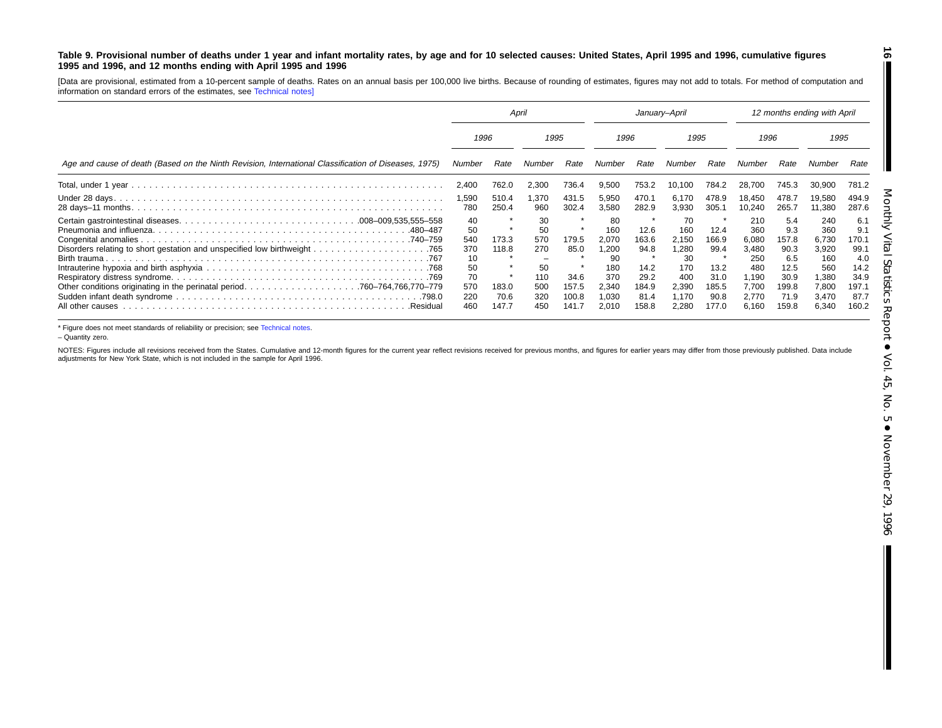#### <span id="page-15-0"></span>Table 9. Provisional number of deaths under 1 year and infant mortality rates, by age and for 10 selected causes: United States, April 1995 and 1996, cumulative figures **1995 and 1996, and 12 months ending with April 1995 and 1996**

[Data are provisional, estimated from <sup>a</sup> 10-percent sample of deaths. Rates on an annual basis per 100,000 live births. Because of rounding of estimates, figures may not add to totals. For method of computation and information on standard errors of the estimates, see [Technical](#page-16-0) notes]

|                                                                                                      | April                                                         |                                          |                                                          | January-April                                    |                                                                           |                                                                 |                                                                            | 12 months ending with April                                     |                                                                                |                                                                              |                                                                                |                                                                              |
|------------------------------------------------------------------------------------------------------|---------------------------------------------------------------|------------------------------------------|----------------------------------------------------------|--------------------------------------------------|---------------------------------------------------------------------------|-----------------------------------------------------------------|----------------------------------------------------------------------------|-----------------------------------------------------------------|--------------------------------------------------------------------------------|------------------------------------------------------------------------------|--------------------------------------------------------------------------------|------------------------------------------------------------------------------|
|                                                                                                      | 1996                                                          |                                          | 1995                                                     |                                                  | 1996                                                                      |                                                                 | 1995                                                                       |                                                                 | 1996                                                                           |                                                                              | 1995                                                                           |                                                                              |
| Age and cause of death (Based on the Ninth Revision, International Classification of Diseases, 1975) | Number                                                        | Rate                                     | Number                                                   | Rate                                             | Number                                                                    | Rate                                                            | Number                                                                     | Rate                                                            | Number                                                                         | Rate                                                                         |                                                                                | Rate                                                                         |
|                                                                                                      | 2,400                                                         | 762.0                                    | 2,300                                                    | 736.4                                            | 9,500                                                                     | 753.2                                                           | 10,100                                                                     | 784.2                                                           | 28.700                                                                         | 745.3                                                                        | 30,900                                                                         | 781.2                                                                        |
|                                                                                                      | 1,590<br>780                                                  | 510.4<br>250.4                           | 1.370<br>960                                             | 431.5<br>302.4                                   | 5,950<br>3,580                                                            | 470.1<br>282.9                                                  | 6.170<br>3,930                                                             | 478.9<br>305.1                                                  | 18.450<br>10.240                                                               | 478.7<br>265.7                                                               | 19,580<br>11,380                                                               | 494.9<br>287.6                                                               |
| .480–487<br>Birth trauma.<br>.Residual                                                               | 40<br>50<br>540<br>370<br>10<br>50<br>70<br>570<br>220<br>460 | 173.3<br>118.8<br>183.0<br>70.6<br>147.7 | 30<br>50<br>570<br>270<br>50<br>110<br>500<br>320<br>450 | 179.5<br>85.0<br>34.6<br>157.5<br>100.8<br>141.7 | 80<br>160<br>2.070<br>,200<br>90<br>180<br>370<br>2,340<br>1.030<br>2,010 | 12.6<br>163.6<br>94.8<br>14.2<br>29.2<br>184.9<br>81.4<br>158.8 | 70<br>160<br>2.150<br>1,280<br>30<br>170<br>400<br>2,390<br>1.170<br>2.280 | 12.4<br>166.9<br>99.4<br>13.2<br>31.0<br>185.5<br>90.8<br>177.0 | 210<br>360<br>6.080<br>3,480<br>250<br>480<br>1,190<br>7.700<br>2.770<br>6.160 | 5.4<br>9.3<br>157.8<br>90.3<br>6.5<br>12.5<br>30.9<br>199.8<br>71.9<br>159.8 | 240<br>360<br>6.730<br>3,920<br>160<br>560<br>1,380<br>7,800<br>3.470<br>6,340 | 6.1<br>9.1<br>170.1<br>99.1<br>4.0<br>14.2<br>34.9<br>197.1<br>87.7<br>160.2 |

\* Figure does not meet standards of reliability or precision; see [Technical](#page-16-0) notes.

– Quantity zero.

NOTES: Figures include all revisions received from the States. Cumulative and 12-month figures for the current year reflect revisions received for previous months, and figures for earlier years may differ from those previo adjustments for New York State, which is not included in the sample for April 1996.

**16**

 $\blacksquare$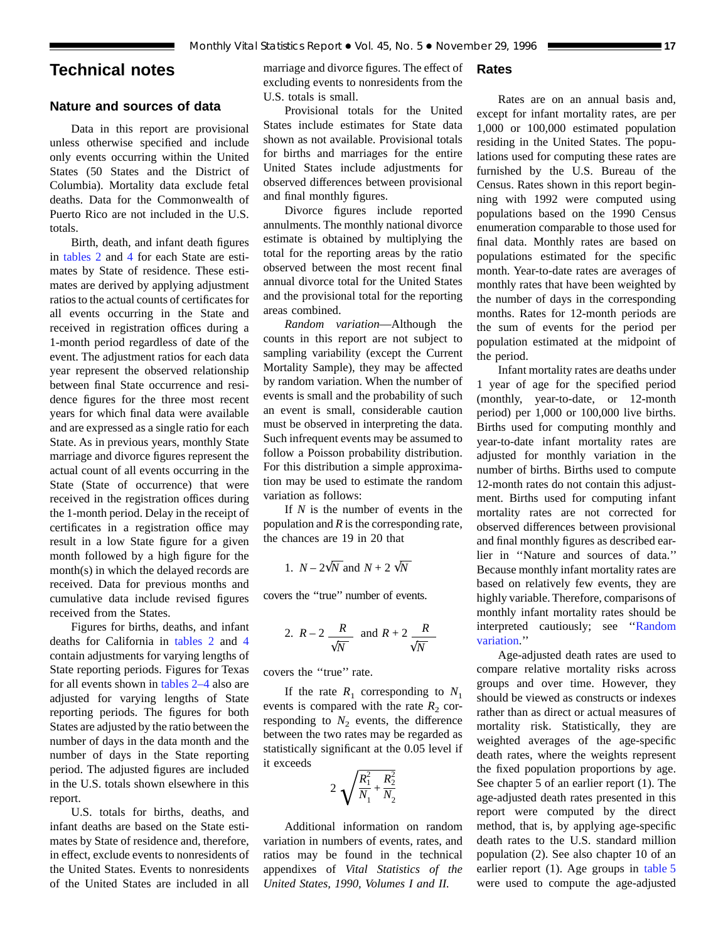# <span id="page-16-0"></span>**Technical notes**

# **Nature and sources of data**

Data in this report are provisional unless otherwise specified and include only events occurring within the United States (50 States and the District of Columbia). Mortality data exclude fetal deaths. Data for the Commonwealth of Puerto Rico are not included in the U.S. totals.

Birth, death, and infant death figures in [tables 2](#page-6-0) and [4](#page-8-0) for each State are estimates by State of residence. These estimates are derived by applying adjustment ratios to the actual counts of certificates for all events occurring in the State and received in registration offices during a 1-month period regardless of date of the event. The adjustment ratios for each data year represent the observed relationship between final State occurrence and residence figures for the three most recent years for which final data were available and are expressed as a single ratio for each State. As in previous years, monthly State marriage and divorce figures represent the actual count of all events occurring in the State (State of occurrence) that were received in the registration offices during the 1-month period. Delay in the receipt of certificates in a registration office may result in a low State figure for a given month followed by a high figure for the month(s) in which the delayed records are received. Data for previous months and cumulative data include revised figures received from the States.

Figures for births, deaths, and infant deaths for California in [tables 2](#page-6-0) and [4](#page-8-0) contain adjustments for varying lengths of State reporting periods. Figures for Texas for all events shown in [tables 2–4](#page-6-0) also are adjusted for varying lengths of State reporting periods. The figures for both States are adjusted by the ratio between the number of days in the data month and the number of days in the State reporting period. The adjusted figures are included in the U.S. totals shown elsewhere in this report.

U.S. totals for births, deaths, and infant deaths are based on the State estimates by State of residence and, therefore, in effect, exclude events to nonresidents of the United States. Events to nonresidents of the United States are included in all

marriage and divorce figures. The effect of excluding events to nonresidents from the U.S. totals is small.

# Provisional totals for the United States include estimates for State data shown as not available. Provisional totals for births and marriages for the entire United States include adjustments for observed differences between provisional and final monthly figures.

Divorce figures include reported annulments. The monthly national divorce estimate is obtained by multiplying the total for the reporting areas by the ratio observed between the most recent final annual divorce total for the United States and the provisional total for the reporting areas combined.

*Random variation*—Although the counts in this report are not subject to sampling variability (except the Current Mortality Sample), they may be affected by random variation. When the number of events is small and the probability of such an event is small, considerable caution must be observed in interpreting the data. Such infrequent events may be assumed to follow a Poisson probability distribution. For this distribution a simple approximation may be used to estimate the random variation as follows:

If *N* is the number of events in the population and *R* is the corresponding rate, the chances are 19 in 20 that

1. 
$$
N - 2\sqrt{N}
$$
 and  $N + 2\sqrt{N}$ 

covers the ''true'' number of events.

2. 
$$
R-2
$$
  $\frac{R}{\sqrt{N}}$  and  $R+2$   $\frac{R}{\sqrt{N}}$ 

covers the ''true'' rate.

If the rate  $R_1$  corresponding to  $N_1$ events is compared with the rate  $R_2$  corresponding to  $N_2$  events, the difference between the two rates may be regarded as statistically significant at the 0.05 level if it exceeds

$$
2\sqrt{\frac{R_1^2}{N_1} + \frac{R_2^2}{N_2}}
$$

Additional information on random variation in numbers of events, rates, and ratios may be found in the technical appendixes of *Vital Statistics of the United States, 1990, Volumes I and II.*

### **Rates**

Rates are on an annual basis and, except for infant mortality rates, are per 1,000 or 100,000 estimated population residing in the United States. The populations used for computing these rates are furnished by the U.S. Bureau of the Census. Rates shown in this report beginning with 1992 were computed using populations based on the 1990 Census enumeration comparable to those used for final data. Monthly rates are based on populations estimated for the specific month. Year-to-date rates are averages of monthly rates that have been weighted by the number of days in the corresponding months. Rates for 12-month periods are the sum of events for the period per population estimated at the midpoint of the period.

Infant mortality rates are deaths under 1 year of age for the specified period (monthly, year-to-date, or 12-month period) per 1,000 or 100,000 live births. Births used for computing monthly and year-to-date infant mortality rates are adjusted for monthly variation in the number of births. Births used to compute 12-month rates do not contain this adjustment. Births used for computing infant mortality rates are not corrected for observed differences between provisional and final monthly figures as described earlier in ''Nature and sources of data.'' Because monthly infant mortality rates are based on relatively few events, they are highly variable. Therefore, comparisons of monthly infant mortality rates should be interpreted cautiously; see ''Random variation.''

Age-adjusted death rates are used to compare relative mortality risks across groups and over time. However, they should be viewed as constructs or indexes rather than as direct or actual measures of mortality risk. Statistically, they are weighted averages of the age-specific death rates, where the weights represent the fixed population proportions by age. See chapter 5 of an earlier report (1). The age-adjusted death rates presented in this report were computed by the direct method, that is, by applying age-specific death rates to the U.S. standard million population (2). See also chapter 10 of an earlier report (1). Age groups in [table 5](#page-9-0) were used to compute the age-adjusted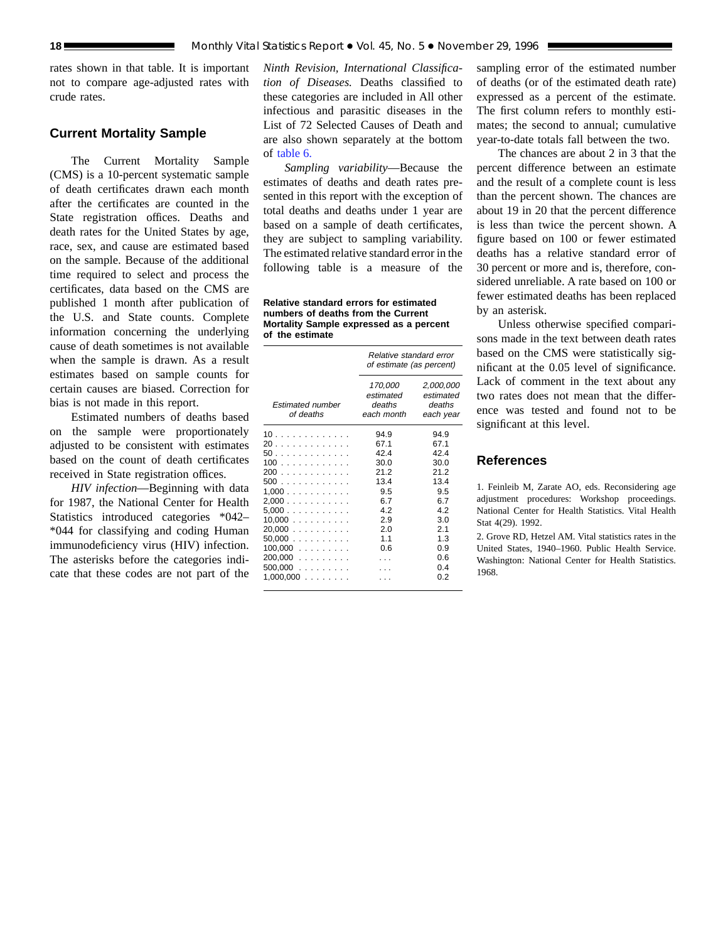rates shown in that table. It is important not to compare age-adjusted rates with crude rates.

## **Current Mortality Sample**

The Current Mortality Sample (CMS) is a 10-percent systematic sample of death certificates drawn each month after the certificates are counted in the State registration offices. Deaths and death rates for the United States by age, race, sex, and cause are estimated based on the sample. Because of the additional time required to select and process the certificates, data based on the CMS are published 1 month after publication of the U.S. and State counts. Complete information concerning the underlying cause of death sometimes is not available when the sample is drawn. As a result estimates based on sample counts for certain causes are biased. Correction for bias is not made in this report.

Estimated numbers of deaths based on the sample were proportionately adjusted to be consistent with estimates based on the count of death certificates received in State registration offices.

*HIV infection*—Beginning with data for 1987, the National Center for Health Statistics introduced categories \*042– \*044 for classifying and coding Human immunodeficiency virus (HIV) infection. The asterisks before the categories indicate that these codes are not part of the

*Ninth Revision, International Classification of Diseases.* Deaths classified to these categories are included in All other infectious and parasitic diseases in the List of 72 Selected Causes of Death and are also shown separately at the bottom of [table 6.](#page-12-0)

*Sampling variability*—Because the estimates of deaths and death rates presented in this report with the exception of total deaths and deaths under 1 year are based on a sample of death certificates, they are subject to sampling variability. The estimated relative standard error in the following table is a measure of the

**Relative standard errors for estimated numbers of deaths from the Current Mortality Sample expressed as a percent of the estimate**

|                                                                                                                         | Relative standard error<br>of estimate (as percent)                                          |                                                                                                     |  |  |  |  |  |  |
|-------------------------------------------------------------------------------------------------------------------------|----------------------------------------------------------------------------------------------|-----------------------------------------------------------------------------------------------------|--|--|--|--|--|--|
| <b>Estimated number</b><br>of deaths                                                                                    | 170,000<br>estimated<br>deaths<br>each month                                                 | 2,000,000<br>estimated<br>deaths<br>each year                                                       |  |  |  |  |  |  |
| 10<br>20<br>50.<br>100<br>200<br>500<br>1.000<br>2,000<br>5,000<br>10,000<br>20,000<br>50.000<br>$100,000$<br>$200,000$ | 94.9<br>67.1<br>42.4<br>30.0<br>21.2<br>13.4<br>9.5<br>6.7<br>4.2<br>2.9<br>2.0<br>11<br>0.6 | 94.9<br>67.1<br>424<br>30.0<br>21.2<br>13.4<br>9.5<br>6.7<br>4.2<br>3.0<br>2.1<br>1.3<br>0.9<br>0.6 |  |  |  |  |  |  |
| $500,000$<br>1,000,000<br>.                                                                                             |                                                                                              | 04<br>0.2                                                                                           |  |  |  |  |  |  |

sampling error of the estimated number of deaths (or of the estimated death rate) expressed as a percent of the estimate. The first column refers to monthly estimates; the second to annual; cumulative year-to-date totals fall between the two.

The chances are about 2 in 3 that the percent difference between an estimate and the result of a complete count is less than the percent shown. The chances are about 19 in 20 that the percent difference is less than twice the percent shown. A figure based on 100 or fewer estimated deaths has a relative standard error of 30 percent or more and is, therefore, considered unreliable. A rate based on 100 or fewer estimated deaths has been replaced by an asterisk.

Unless otherwise specified comparisons made in the text between death rates based on the CMS were statistically significant at the 0.05 level of significance. Lack of comment in the text about any two rates does not mean that the difference was tested and found not to be significant at this level.

# **References**

1. Feinleib M, Zarate AO, eds. Reconsidering age adjustment procedures: Workshop proceedings. National Center for Health Statistics. Vital Health Stat 4(29). 1992.

2. Grove RD, Hetzel AM. Vital statistics rates in the United States, 1940–1960. Public Health Service. Washington: National Center for Health Statistics. 1968.